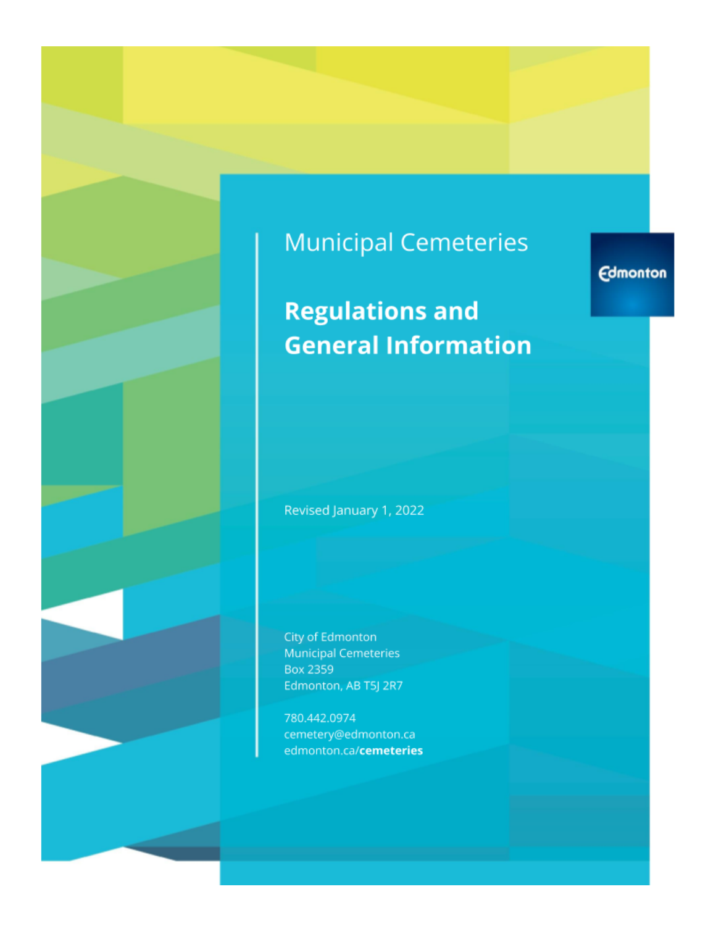# **Municipal Cemeteries**

# **Regulations and General Information**

Revised January 1, 2022

City of Edmonton **Municipal Cemeteries Box 2359** Edmonton, AB T5J 2R7

780.442.0974 cemetery@edmonton.ca edmonton.ca/cemeteries **Edmonton**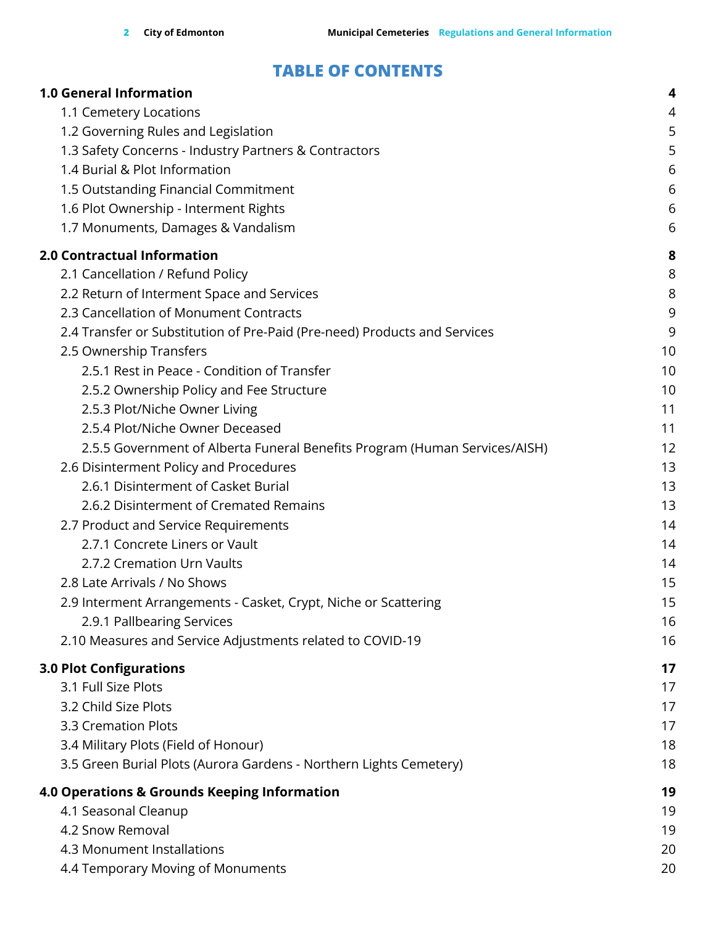# **TABLE OF CONTENTS**

| <b>1.0 General Information</b>                                             | 4  |
|----------------------------------------------------------------------------|----|
| 1.1 Cemetery Locations                                                     | 4  |
| 1.2 Governing Rules and Legislation                                        | 5  |
| 1.3 Safety Concerns - Industry Partners & Contractors                      | 5  |
| 1.4 Burial & Plot Information                                              | 6  |
| 1.5 Outstanding Financial Commitment                                       | 6  |
| 1.6 Plot Ownership - Interment Rights                                      | 6  |
| 1.7 Monuments, Damages & Vandalism                                         | 6  |
| 2.0 Contractual Information                                                | 8  |
| 2.1 Cancellation / Refund Policy                                           | 8  |
| 2.2 Return of Interment Space and Services                                 | 8  |
| 2.3 Cancellation of Monument Contracts                                     | 9  |
| 2.4 Transfer or Substitution of Pre-Paid (Pre-need) Products and Services  | 9  |
| 2.5 Ownership Transfers                                                    | 10 |
| 2.5.1 Rest in Peace - Condition of Transfer                                | 10 |
| 2.5.2 Ownership Policy and Fee Structure                                   | 10 |
| 2.5.3 Plot/Niche Owner Living                                              | 11 |
| 2.5.4 Plot/Niche Owner Deceased                                            | 11 |
| 2.5.5 Government of Alberta Funeral Benefits Program (Human Services/AISH) | 12 |
| 2.6 Disinterment Policy and Procedures                                     | 13 |
| 2.6.1 Disinterment of Casket Burial                                        | 13 |
| 2.6.2 Disinterment of Cremated Remains                                     | 13 |
| 2.7 Product and Service Requirements                                       | 14 |
| 2.7.1 Concrete Liners or Vault                                             | 14 |
| 2.7.2 Cremation Urn Vaults                                                 | 14 |
| 2.8 Late Arrivals / No Shows                                               | 15 |
| 2.9 Interment Arrangements - Casket, Crypt, Niche or Scattering            | 15 |
| 2.9.1 Pallbearing Services                                                 | 16 |
| 2.10 Measures and Service Adjustments related to COVID-19                  | 16 |
| <b>3.0 Plot Configurations</b>                                             | 17 |
| 3.1 Full Size Plots                                                        | 17 |
| 3.2 Child Size Plots                                                       | 17 |
| 3.3 Cremation Plots                                                        | 17 |
| 3.4 Military Plots (Field of Honour)                                       | 18 |
| 3.5 Green Burial Plots (Aurora Gardens - Northern Lights Cemetery)         | 18 |
| 4.0 Operations & Grounds Keeping Information                               | 19 |
| 4.1 Seasonal Cleanup                                                       | 19 |
| 4.2 Snow Removal                                                           | 19 |
| 4.3 Monument Installations                                                 | 20 |
| 4.4 Temporary Moving of Monuments                                          | 20 |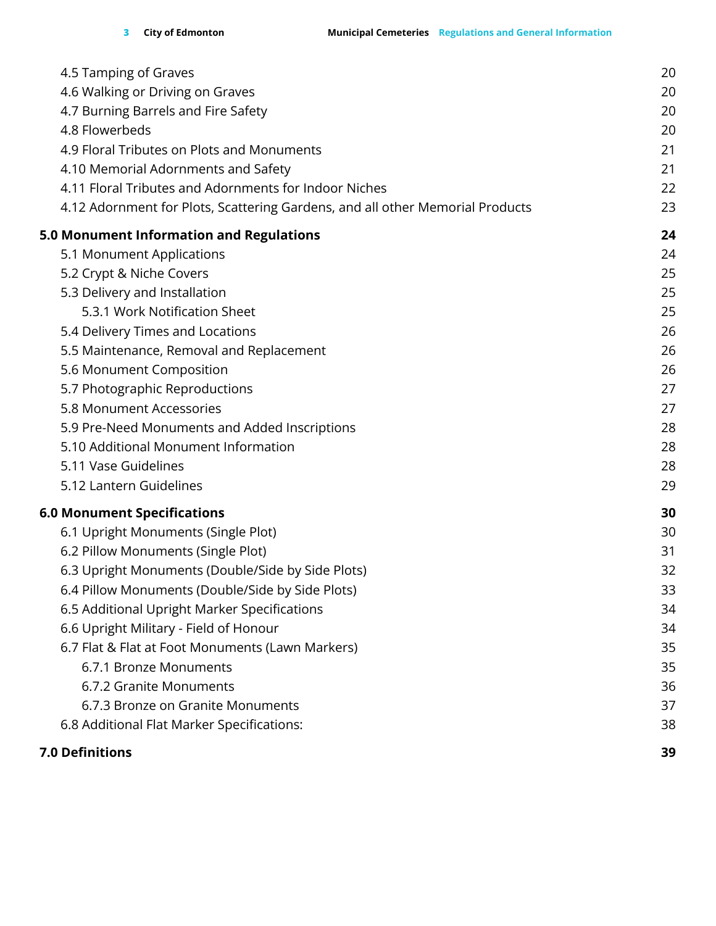| <b>7.0 Definitions</b>                                                        | 39 |
|-------------------------------------------------------------------------------|----|
| 6.8 Additional Flat Marker Specifications:                                    | 38 |
| 6.7.3 Bronze on Granite Monuments                                             | 37 |
| 6.7.2 Granite Monuments                                                       | 36 |
| 6.7.1 Bronze Monuments                                                        | 35 |
| 6.7 Flat & Flat at Foot Monuments (Lawn Markers)                              | 35 |
| 6.6 Upright Military - Field of Honour                                        | 34 |
| 6.5 Additional Upright Marker Specifications                                  | 34 |
| 6.4 Pillow Monuments (Double/Side by Side Plots)                              | 33 |
| 6.3 Upright Monuments (Double/Side by Side Plots)                             | 32 |
| 6.2 Pillow Monuments (Single Plot)                                            | 31 |
| 6.1 Upright Monuments (Single Plot)                                           | 30 |
| <b>6.0 Monument Specifications</b>                                            | 30 |
| 5.12 Lantern Guidelines                                                       | 29 |
| 5.11 Vase Guidelines                                                          | 28 |
| 5.10 Additional Monument Information                                          | 28 |
| 5.9 Pre-Need Monuments and Added Inscriptions                                 | 28 |
| 5.8 Monument Accessories                                                      | 27 |
| 5.7 Photographic Reproductions                                                | 27 |
| 5.6 Monument Composition                                                      | 26 |
| 5.5 Maintenance, Removal and Replacement                                      | 26 |
| 5.4 Delivery Times and Locations                                              | 26 |
| 5.3.1 Work Notification Sheet                                                 | 25 |
| 5.3 Delivery and Installation                                                 | 25 |
| 5.2 Crypt & Niche Covers                                                      | 25 |
| 5.1 Monument Applications                                                     | 24 |
| 5.0 Monument Information and Regulations                                      | 24 |
| 4.12 Adornment for Plots, Scattering Gardens, and all other Memorial Products | 23 |
| 4.11 Floral Tributes and Adornments for Indoor Niches                         | 22 |
| 4.10 Memorial Adornments and Safety                                           | 21 |
| 4.9 Floral Tributes on Plots and Monuments                                    | 21 |
| 4.8 Flowerbeds                                                                | 20 |
| 4.7 Burning Barrels and Fire Safety                                           | 20 |
| 4.6 Walking or Driving on Graves                                              | 20 |
| 4.5 Tamping of Graves                                                         | 20 |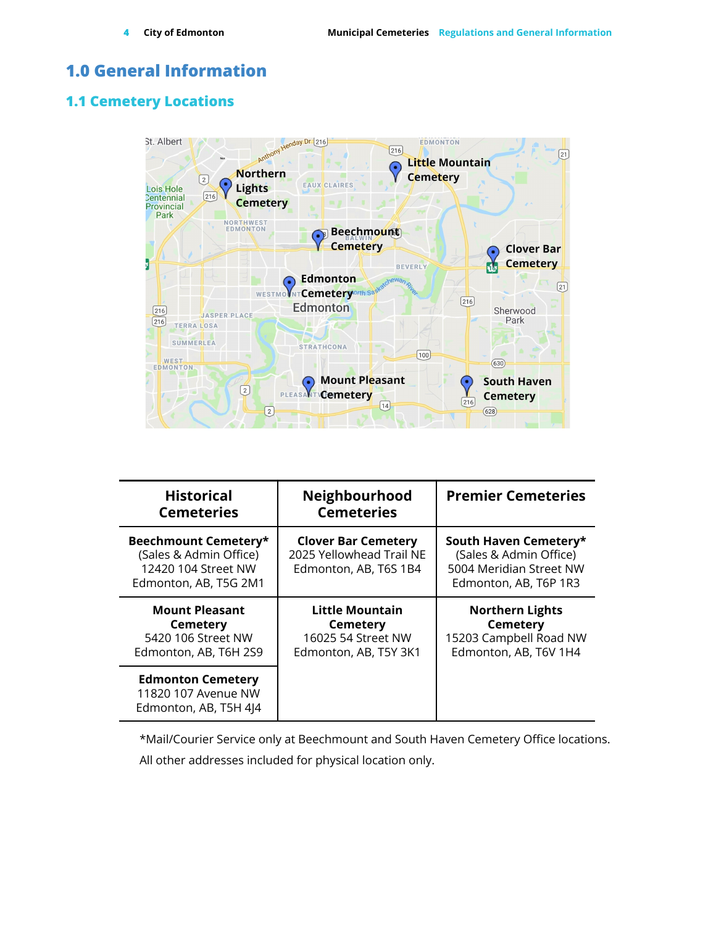# <span id="page-3-0"></span>**1.0 General Information**

### <span id="page-3-1"></span>**1.1 Cemetery Locations**



| <b>Historical</b><br><b>Cemeteries</b>                                                         | Neighbourhood<br><b>Cemeteries</b>                                                | <b>Premier Cemeteries</b>                                                                           |
|------------------------------------------------------------------------------------------------|-----------------------------------------------------------------------------------|-----------------------------------------------------------------------------------------------------|
| Beechmount Cemetery*<br>(Sales & Admin Office)<br>12420 104 Street NW<br>Edmonton, AB, T5G 2M1 | <b>Clover Bar Cemetery</b><br>2025 Yellowhead Trail NE<br>Edmonton, AB, T6S 1B4   | South Haven Cemetery*<br>(Sales & Admin Office)<br>5004 Meridian Street NW<br>Edmonton, AB, T6P 1R3 |
| <b>Mount Pleasant</b><br><b>Cemetery</b><br>5420 106 Street NW<br>Edmonton, AB, T6H 2S9        | Little Mountain<br><b>Cemetery</b><br>16025 54 Street NW<br>Edmonton, AB, T5Y 3K1 | <b>Northern Lights</b><br><b>Cemetery</b><br>15203 Campbell Road NW<br>Edmonton, AB, T6V 1H4        |
| <b>Edmonton Cemetery</b><br>11820 107 Avenue NW<br>Edmonton, AB, T5H 4J4                       |                                                                                   |                                                                                                     |

\*Mail/Courier Service only at Beechmount and South Haven Cemetery Office locations.

All other addresses included for physical location only.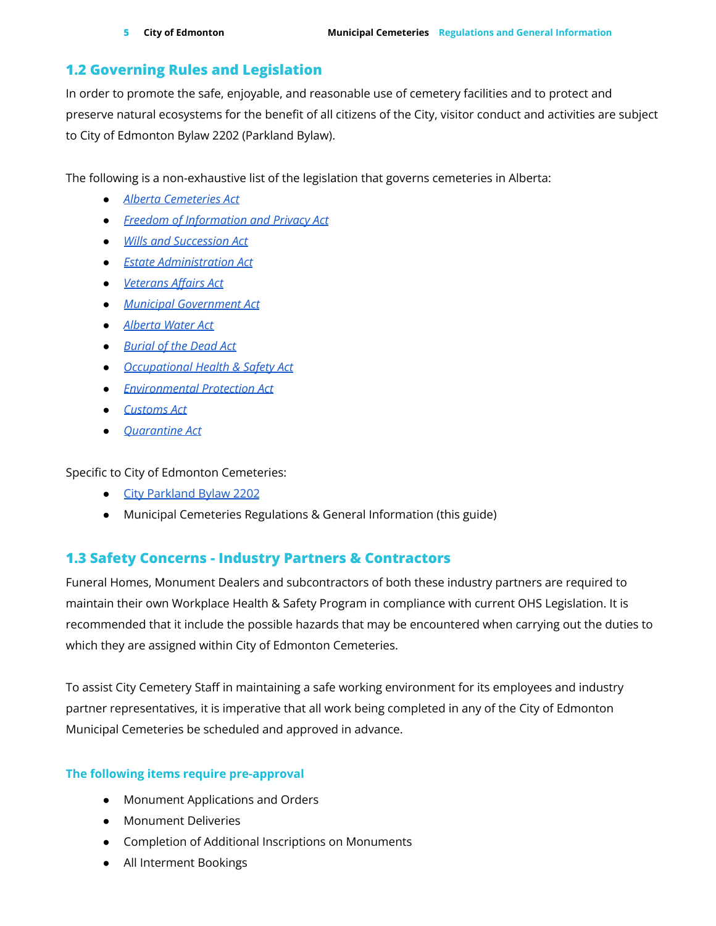### <span id="page-4-0"></span>**1.2 Governing Rules and Legislation**

In order to promote the safe, enjoyable, and reasonable use of cemetery facilities and to protect and preserve natural ecosystems for the benefit of all citizens of the City, visitor conduct and activities are subject to City of Edmonton Bylaw 2202 (Parkland Bylaw).

The following is a non-exhaustive list of the legislation that governs cemeteries in Alberta:

- *● Alberta [Cemeteries](http://www.qp.alberta.ca/documents/Acts/C03.pdf) Act*
- *● Freedom of [Information](http://www.qp.alberta.ca/documents/Acts/F25.pdf) and Privacy Act*
- *● Wills and [Succession](http://www.qp.alberta.ca/documents/Acts/W12P2.pdf) Act*
- *● Estate [Administration](https://www.qp.alberta.ca/documents/Acts/e12p5.pdf) Act*
- *● [Veterans](https://laws-lois.justice.gc.ca/eng/acts/v-1/) Affairs Act*
- *● Municipal [Government](http://www.qp.alberta.ca/documents/Acts/m26.pdf) Act*
- *● [Alberta](http://www.qp.alberta.ca/documents/Acts/w03.pdf) Water Act*
- *● [Burial](http://www.qp.alberta.ca/documents/Acts/B08.pdf) of the Dead Act*
- *● [Occupational](http://www.qp.alberta.ca/documents/Acts/O02P1.pdf) Health & Safety Act*
- *● [Environmental](https://laws-lois.justice.gc.ca/eng/acts/c-15.31/) Protection Act*
- *● [Customs](https://laws-lois.justice.gc.ca/eng/acts/c-52.6/) Act*
- *● [Quarantine](https://laws-lois.justice.gc.ca/eng/acts/q-1.1/index.html) Act*

Specific to City of Edmonton Cemeteries:

- City [Parkland](https://www.edmonton.ca/attractions_events/documents/PDF/C2202.pdf) Bylaw 2202
- Municipal Cemeteries Regulations & General Information (this guide)

### <span id="page-4-1"></span>**1.3 Safety Concerns - Industry Partners & Contractors**

Funeral Homes, Monument Dealers and subcontractors of both these industry partners are required to maintain their own Workplace Health & Safety Program in compliance with current OHS Legislation. It is recommended that it include the possible hazards that may be encountered when carrying out the duties to which they are assigned within City of Edmonton Cemeteries.

To assist City Cemetery Staff in maintaining a safe working environment for its employees and industry partner representatives, it is imperative that all work being completed in any of the City of Edmonton Municipal Cemeteries be scheduled and approved in advance.

### **The following items require pre-approval**

- Monument Applications and Orders
- Monument Deliveries
- Completion of Additional Inscriptions on Monuments
- All Interment Bookings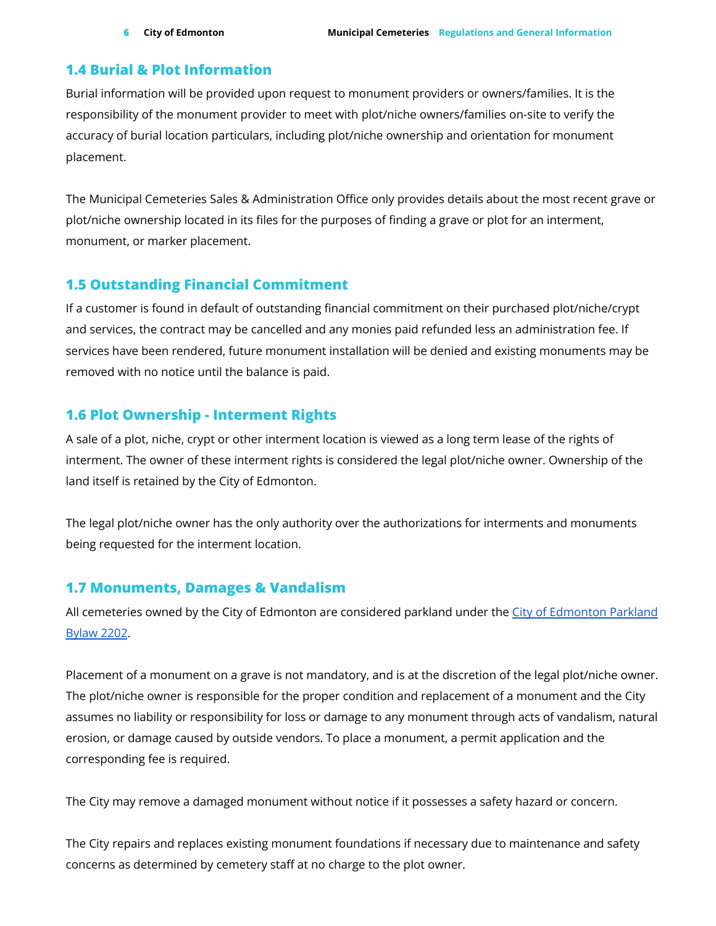### <span id="page-5-0"></span>**1.4 Burial & Plot Information**

Burial information will be provided upon request to monument providers or owners/families. It is the responsibility of the monument provider to meet with plot/niche owners/families on-site to verify the accuracy of burial location particulars, including plot/niche ownership and orientation for monument placement.

The Municipal Cemeteries Sales & Administration Office only provides details about the most recent grave or plot/niche ownership located in its files for the purposes of finding a grave or plot for an interment, monument, or marker placement.

### <span id="page-5-1"></span>**1.5 Outstanding Financial Commitment**

If a customer is found in default of outstanding financial commitment on their purchased plot/niche/crypt and services, the contract may be cancelled and any monies paid refunded less an administration fee. If services have been rendered, future monument installation will be denied and existing monuments may be removed with no notice until the balance is paid.

### <span id="page-5-2"></span>**1.6 Plot Ownership - Interment Rights**

A sale of a plot, niche, crypt or other interment location is viewed as a long term lease of the rights of interment. The owner of these interment rights is considered the legal plot/niche owner. Ownership of the land itself is retained by the City of Edmonton.

The legal plot/niche owner has the only authority over the authorizations for interments and monuments being requested for the interment location.

### <span id="page-5-3"></span>**1.7 Monuments, Damages & Vandalism**

All cemeteries owned by the City of Edmonton are considered parkland under the City of [Edmonton](https://www.edmonton.ca/attractions_events/documents/PDF/C2202.pdf) Parkland [Bylaw](https://www.edmonton.ca/attractions_events/documents/PDF/C2202.pdf) 2202.

Placement of a monument on a grave is not mandatory, and is at the discretion of the legal plot/niche owner. The plot/niche owner is responsible for the proper condition and replacement of a monument and the City assumes no liability or responsibility for loss or damage to any monument through acts of vandalism, natural erosion, or damage caused by outside vendors. To place a monument, a permit application and the corresponding fee is required.

The City may remove a damaged monument without notice if it possesses a safety hazard or concern.

The City repairs and replaces existing monument foundations if necessary due to maintenance and safety concerns as determined by cemetery staff at no charge to the plot owner.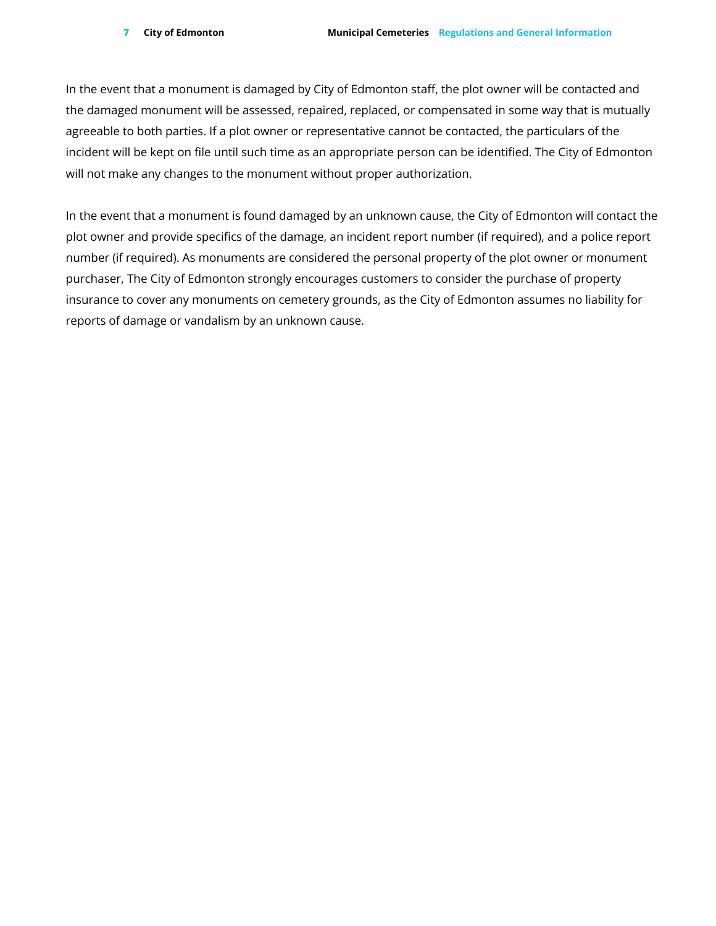In the event that a monument is damaged by City of Edmonton staff, the plot owner will be contacted and the damaged monument will be assessed, repaired, replaced, or compensated in some way that is mutually agreeable to both parties. If a plot owner or representative cannot be contacted, the particulars of the incident will be kept on file until such time as an appropriate person can be identified. The City of Edmonton will not make any changes to the monument without proper authorization.

In the event that a monument is found damaged by an unknown cause, the City of Edmonton will contact the plot owner and provide specifics of the damage, an incident report number (if required), and a police report number (if required). As monuments are considered the personal property of the plot owner or monument purchaser, The City of Edmonton strongly encourages customers to consider the purchase of property insurance to cover any monuments on cemetery grounds, as the City of Edmonton assumes no liability for reports of damage or vandalism by an unknown cause.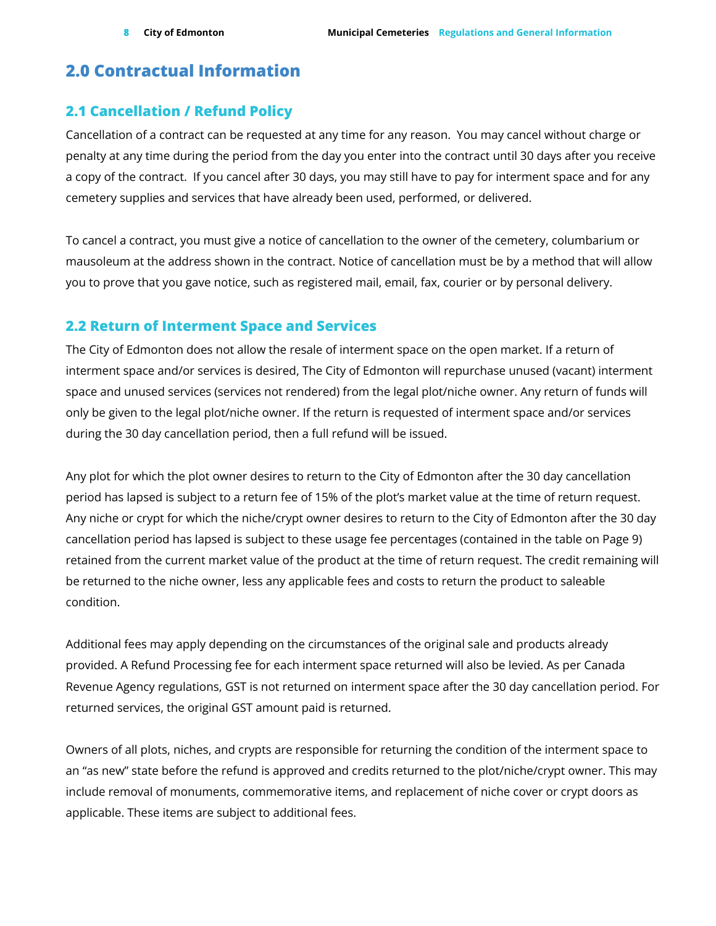# <span id="page-7-0"></span>**2.0 Contractual Information**

### <span id="page-7-1"></span>**2.1 Cancellation / Refund Policy**

Cancellation of a contract can be requested at any time for any reason. You may cancel without charge or penalty at any time during the period from the day you enter into the contract until 30 days after you receive a copy of the contract. If you cancel after 30 days, you may still have to pay for interment space and for any cemetery supplies and services that have already been used, performed, or delivered.

To cancel a contract, you must give a notice of cancellation to the owner of the cemetery, columbarium or mausoleum at the address shown in the contract. Notice of cancellation must be by a method that will allow you to prove that you gave notice, such as registered mail, email, fax, courier or by personal delivery.

### <span id="page-7-2"></span>**2.2 Return of Interment Space and Services**

The City of Edmonton does not allow the resale of interment space on the open market. If a return of interment space and/or services is desired, The City of Edmonton will repurchase unused (vacant) interment space and unused services (services not rendered) from the legal plot/niche owner. Any return of funds will only be given to the legal plot/niche owner. If the return is requested of interment space and/or services during the 30 day cancellation period, then a full refund will be issued.

Any plot for which the plot owner desires to return to the City of Edmonton after the 30 day cancellation period has lapsed is subject to a return fee of 15% of the plot's market value at the time of return request. Any niche or crypt for which the niche/crypt owner desires to return to the City of Edmonton after the 30 day cancellation period has lapsed is subject to these usage fee percentages (contained in the table on Page 9) retained from the current market value of the product at the time of return request. The credit remaining will be returned to the niche owner, less any applicable fees and costs to return the product to saleable condition.

Additional fees may apply depending on the circumstances of the original sale and products already provided. A Refund Processing fee for each interment space returned will also be levied. As per Canada Revenue Agency regulations, GST is not returned on interment space after the 30 day cancellation period. For returned services, the original GST amount paid is returned.

Owners of all plots, niches, and crypts are responsible for returning the condition of the interment space to an "as new" state before the refund is approved and credits returned to the plot/niche/crypt owner. This may include removal of monuments, commemorative items, and replacement of niche cover or crypt doors as applicable. These items are subject to additional fees.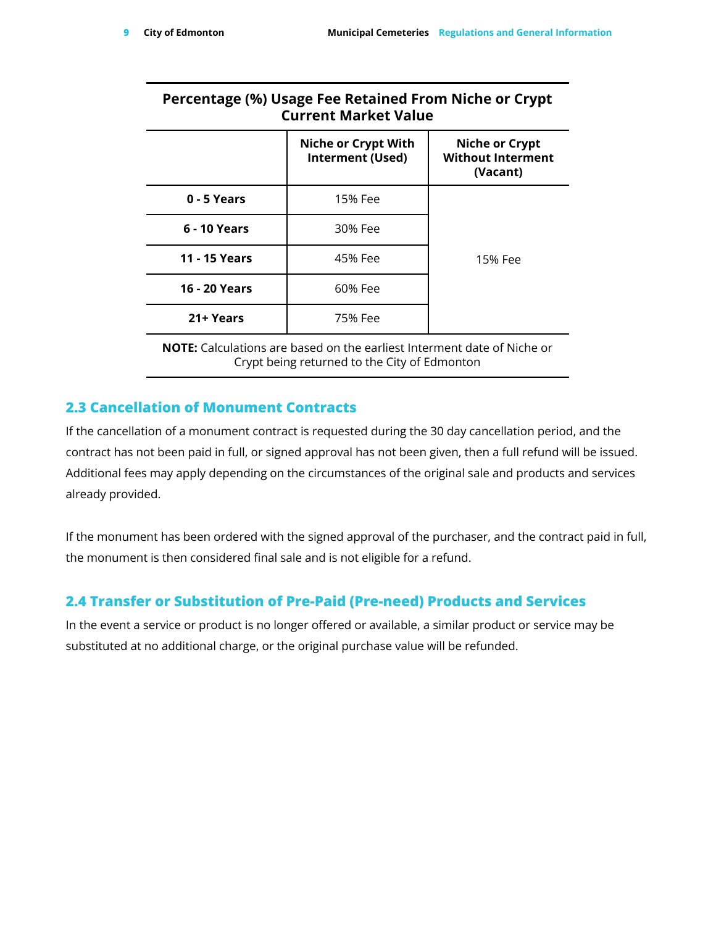### **Percentage (%) Usage Fee Retained From Niche or Crypt Current Market Value**

|                      | <b>Niche or Crypt With</b><br>Interment (Used) | <b>Niche or Crypt</b><br><b>Without Interment</b><br>(Vacant) |
|----------------------|------------------------------------------------|---------------------------------------------------------------|
| 0 - 5 Years          | 15% Fee                                        |                                                               |
| 6 - 10 Years         | 30% Fee                                        |                                                               |
| <b>11 - 15 Years</b> | 45% Fee                                        | 15% Fee                                                       |
| <b>16 - 20 Years</b> | 60% Fee                                        |                                                               |
| 21+ Years            | 75% Fee                                        |                                                               |

**NOTE:** Calculations are based on the earliest Interment date of Niche or Crypt being returned to the City of Edmonton

### <span id="page-8-0"></span>**2.3 Cancellation of Monument Contracts**

If the cancellation of a monument contract is requested during the 30 day cancellation period, and the contract has not been paid in full, or signed approval has not been given, then a full refund will be issued. Additional fees may apply depending on the circumstances of the original sale and products and services already provided.

If the monument has been ordered with the signed approval of the purchaser, and the contract paid in full, the monument is then considered final sale and is not eligible for a refund.

### <span id="page-8-1"></span>**2.4 Transfer or Substitution of Pre-Paid (Pre-need) Products and Services**

In the event a service or product is no longer offered or available, a similar product or service may be substituted at no additional charge, or the original purchase value will be refunded.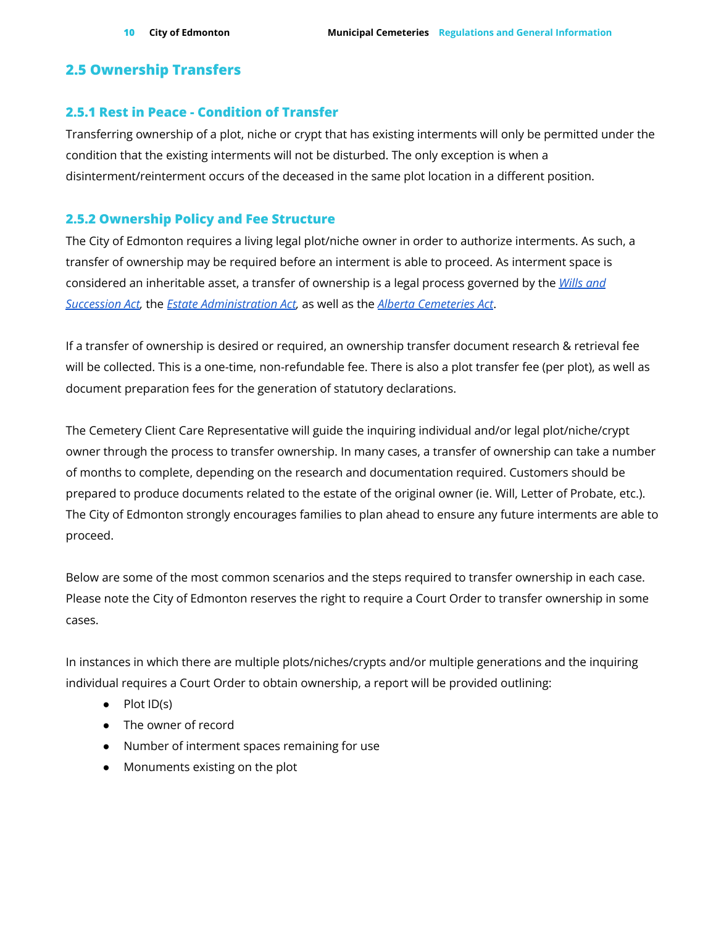### <span id="page-9-0"></span>**2.5 Ownership Transfers**

#### <span id="page-9-1"></span>**2.5.1 Rest in Peace - Condition of Transfer**

Transferring ownership of a plot, niche or crypt that has existing interments will only be permitted under the condition that the existing interments will not be disturbed. The only exception is when a disinterment/reinterment occurs of the deceased in the same plot location in a different position.

### <span id="page-9-2"></span>**2.5.2 Ownership Policy and Fee Structure**

The City of Edmonton requires a living legal plot/niche owner in order to authorize interments. As such, a transfer of ownership may be required before an interment is able to proceed. As interment space is considered an inheritable asset, a transfer of ownership is a legal process governed by the *[Wills](http://www.qp.alberta.ca/documents/Acts/W12P2.pdf) and [Succession](http://www.qp.alberta.ca/documents/Acts/W12P2.pdf) Act,* the *Estate [Administration](https://www.qp.alberta.ca/documents/Acts/e12p5.pdf) Act,* as well as the *Alberta [Cemeteries](http://www.qp.alberta.ca/documents/Acts/C03.pdf) Act*.

If a transfer of ownership is desired or required, an ownership transfer document research & retrieval fee will be collected. This is a one-time, non-refundable fee. There is also a plot transfer fee (per plot), as well as document preparation fees for the generation of statutory declarations.

The Cemetery Client Care Representative will guide the inquiring individual and/or legal plot/niche/crypt owner through the process to transfer ownership. In many cases, a transfer of ownership can take a number of months to complete, depending on the research and documentation required. Customers should be prepared to produce documents related to the estate of the original owner (ie. Will, Letter of Probate, etc.). The City of Edmonton strongly encourages families to plan ahead to ensure any future interments are able to proceed.

Below are some of the most common scenarios and the steps required to transfer ownership in each case. Please note the City of Edmonton reserves the right to require a Court Order to transfer ownership in some cases.

In instances in which there are multiple plots/niches/crypts and/or multiple generations and the inquiring individual requires a Court Order to obtain ownership, a report will be provided outlining:

- Plot ID(s)
- The owner of record
- Number of interment spaces remaining for use
- Monuments existing on the plot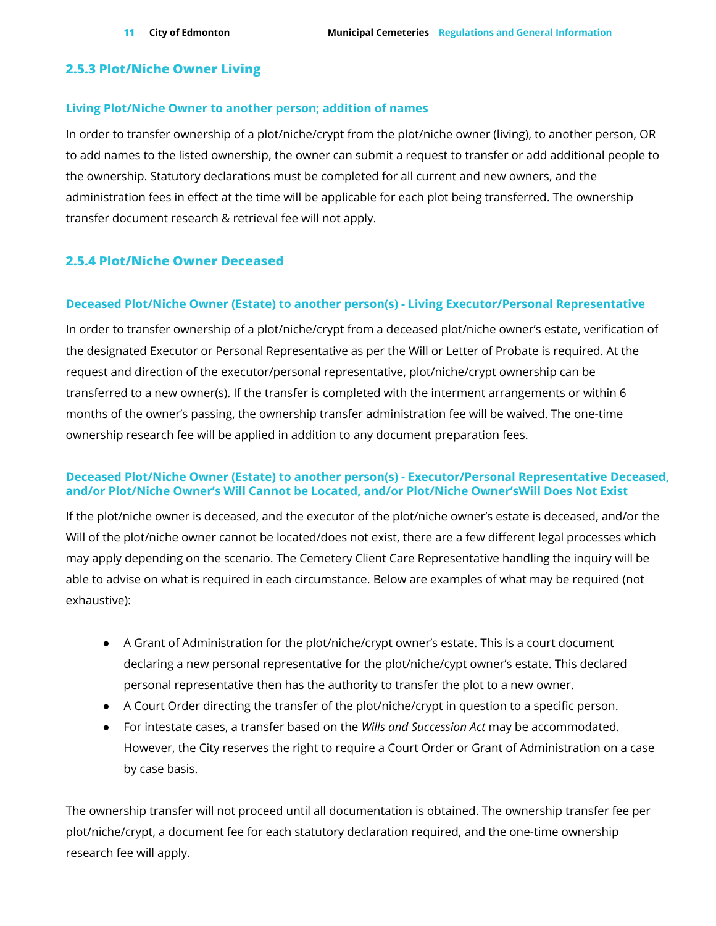### <span id="page-10-0"></span>**2.5.3 Plot/Niche Owner Living**

#### **Living Plot/Niche Owner to another person; addition of names**

In order to transfer ownership of a plot/niche/crypt from the plot/niche owner (living), to another person, OR to add names to the listed ownership, the owner can submit a request to transfer or add additional people to the ownership. Statutory declarations must be completed for all current and new owners, and the administration fees in effect at the time will be applicable for each plot being transferred. The ownership transfer document research & retrieval fee will not apply.

### <span id="page-10-1"></span>**2.5.4 Plot/Niche Owner Deceased**

#### **Deceased Plot/Niche Owner (Estate) to another person(s) - Living Executor/Personal Representative**

In order to transfer ownership of a plot/niche/crypt from a deceased plot/niche owner's estate, verification of the designated Executor or Personal Representative as per the Will or Letter of Probate is required. At the request and direction of the executor/personal representative, plot/niche/crypt ownership can be transferred to a new owner(s). If the transfer is completed with the interment arrangements or within 6 months of the owner's passing, the ownership transfer administration fee will be waived. The one-time ownership research fee will be applied in addition to any document preparation fees.

#### **Deceased Plot/Niche Owner (Estate) to another person(s) - Executor/Personal Representative Deceased, and/or Plot/Niche Owner's Will Cannot be Located, and/or Plot/Niche Owner'sWill Does Not Exist**

If the plot/niche owner is deceased, and the executor of the plot/niche owner's estate is deceased, and/or the Will of the plot/niche owner cannot be located/does not exist, there are a few different legal processes which may apply depending on the scenario. The Cemetery Client Care Representative handling the inquiry will be able to advise on what is required in each circumstance. Below are examples of what may be required (not exhaustive):

- A Grant of Administration for the plot/niche/crypt owner's estate. This is a court document declaring a new personal representative for the plot/niche/cypt owner's estate. This declared personal representative then has the authority to transfer the plot to a new owner.
- A Court Order directing the transfer of the plot/niche/crypt in question to a specific person.
- For intestate cases, a transfer based on the *Wills and Succession Act* may be accommodated. However, the City reserves the right to require a Court Order or Grant of Administration on a case by case basis.

The ownership transfer will not proceed until all documentation is obtained. The ownership transfer fee per plot/niche/crypt, a document fee for each statutory declaration required, and the one-time ownership research fee will apply.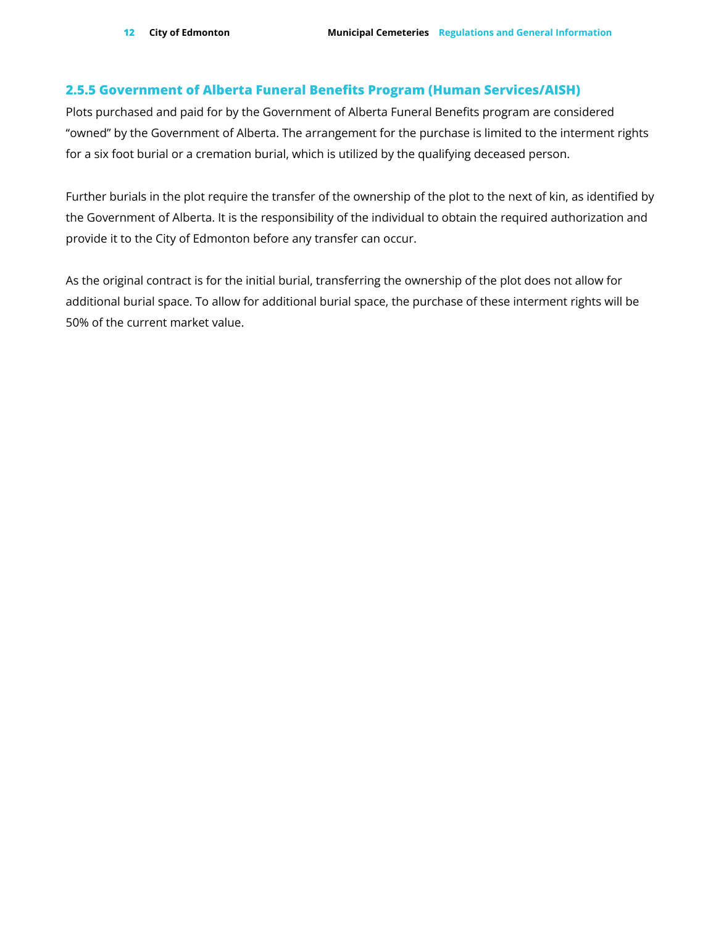### <span id="page-11-0"></span>**2.5.5 Government of Alberta Funeral Benefits Program (Human Services/AISH)**

Plots purchased and paid for by the Government of Alberta Funeral Benefits program are considered "owned" by the Government of Alberta. The arrangement for the purchase is limited to the interment rights for a six foot burial or a cremation burial, which is utilized by the qualifying deceased person.

Further burials in the plot require the transfer of the ownership of the plot to the next of kin, as identified by the Government of Alberta. It is the responsibility of the individual to obtain the required authorization and provide it to the City of Edmonton before any transfer can occur.

As the original contract is for the initial burial, transferring the ownership of the plot does not allow for additional burial space. To allow for additional burial space, the purchase of these interment rights will be 50% of the current market value.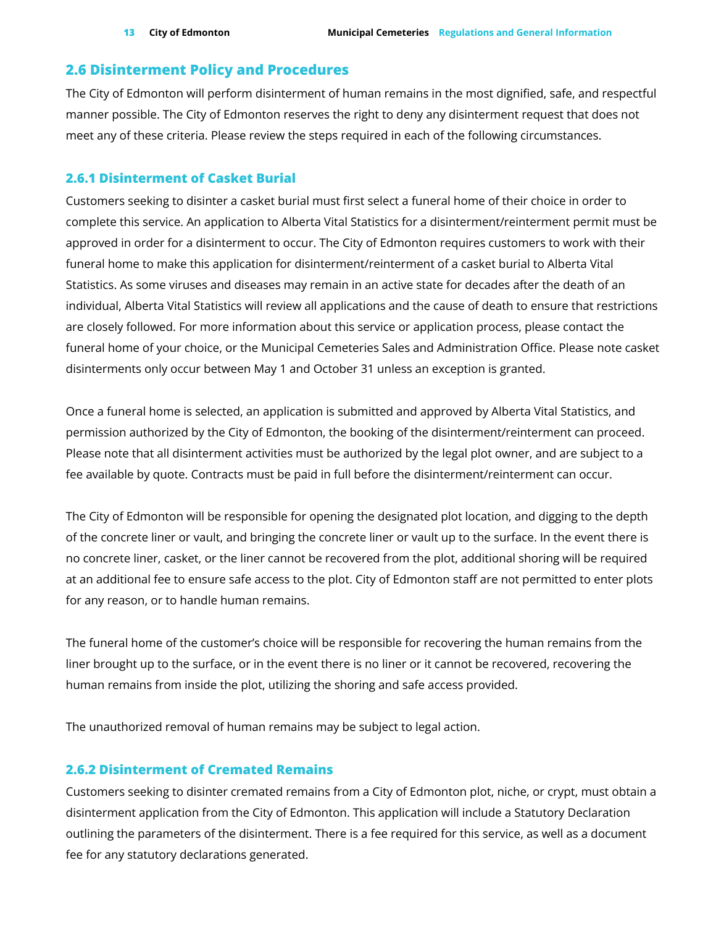### <span id="page-12-0"></span>**2.6 Disinterment Policy and Procedures**

The City of Edmonton will perform disinterment of human remains in the most dignified, safe, and respectful manner possible. The City of Edmonton reserves the right to deny any disinterment request that does not meet any of these criteria. Please review the steps required in each of the following circumstances.

#### <span id="page-12-1"></span>**2.6.1 Disinterment of Casket Burial**

Customers seeking to disinter a casket burial must first select a funeral home of their choice in order to complete this service. An application to Alberta Vital Statistics for a disinterment/reinterment permit must be approved in order for a disinterment to occur. The City of Edmonton requires customers to work with their funeral home to make this application for disinterment/reinterment of a casket burial to Alberta Vital Statistics. As some viruses and diseases may remain in an active state for decades after the death of an individual, Alberta Vital Statistics will review all applications and the cause of death to ensure that restrictions are closely followed. For more information about this service or application process, please contact the funeral home of your choice, or the Municipal Cemeteries Sales and Administration Office. Please note casket disinterments only occur between May 1 and October 31 unless an exception is granted.

Once a funeral home is selected, an application is submitted and approved by Alberta Vital Statistics, and permission authorized by the City of Edmonton, the booking of the disinterment/reinterment can proceed. Please note that all disinterment activities must be authorized by the legal plot owner, and are subject to a fee available by quote. Contracts must be paid in full before the disinterment/reinterment can occur.

The City of Edmonton will be responsible for opening the designated plot location, and digging to the depth of the concrete liner or vault, and bringing the concrete liner or vault up to the surface. In the event there is no concrete liner, casket, or the liner cannot be recovered from the plot, additional shoring will be required at an additional fee to ensure safe access to the plot. City of Edmonton staff are not permitted to enter plots for any reason, or to handle human remains.

The funeral home of the customer's choice will be responsible for recovering the human remains from the liner brought up to the surface, or in the event there is no liner or it cannot be recovered, recovering the human remains from inside the plot, utilizing the shoring and safe access provided.

The unauthorized removal of human remains may be subject to legal action.

### <span id="page-12-2"></span>**2.6.2 Disinterment of Cremated Remains**

Customers seeking to disinter cremated remains from a City of Edmonton plot, niche, or crypt, must obtain a disinterment application from the City of Edmonton. This application will include a Statutory Declaration outlining the parameters of the disinterment. There is a fee required for this service, as well as a document fee for any statutory declarations generated.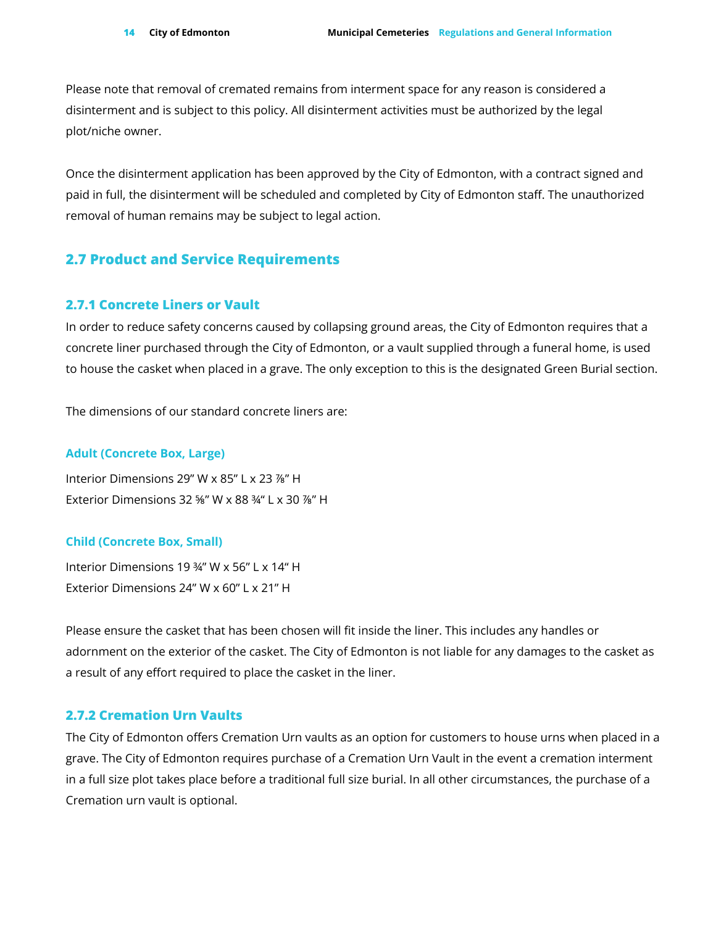Please note that removal of cremated remains from interment space for any reason is considered a disinterment and is subject to this policy. All disinterment activities must be authorized by the legal plot/niche owner.

Once the disinterment application has been approved by the City of Edmonton, with a contract signed and paid in full, the disinterment will be scheduled and completed by City of Edmonton staff. The unauthorized removal of human remains may be subject to legal action.

### <span id="page-13-0"></span>**2.7 Product and Service Requirements**

#### <span id="page-13-1"></span>**2.7.1 Concrete Liners or Vault**

In order to reduce safety concerns caused by collapsing ground areas, the City of Edmonton requires that a concrete liner purchased through the City of Edmonton, or a vault supplied through a funeral home, is used to house the casket when placed in a grave. The only exception to this is the designated Green Burial section.

The dimensions of our standard concrete liners are:

#### **Adult (Concrete Box, Large)**

Interior Dimensions 29" W x 85" L x 23 ⅞" H Exterior Dimensions 32 ⅝" W x 88 ¾" L x 30 ⅞" H

#### **Child (Concrete Box, Small)**

Interior Dimensions 19 ¾" W x 56" L x 14" H Exterior Dimensions 24" W x 60" L x 21" H

Please ensure the casket that has been chosen will fit inside the liner. This includes any handles or adornment on the exterior of the casket. The City of Edmonton is not liable for any damages to the casket as a result of any effort required to place the casket in the liner.

### <span id="page-13-2"></span>**2.7.2 Cremation Urn Vaults**

The City of Edmonton offers Cremation Urn vaults as an option for customers to house urns when placed in a grave. The City of Edmonton requires purchase of a Cremation Urn Vault in the event a cremation interment in a full size plot takes place before a traditional full size burial. In all other circumstances, the purchase of a Cremation urn vault is optional.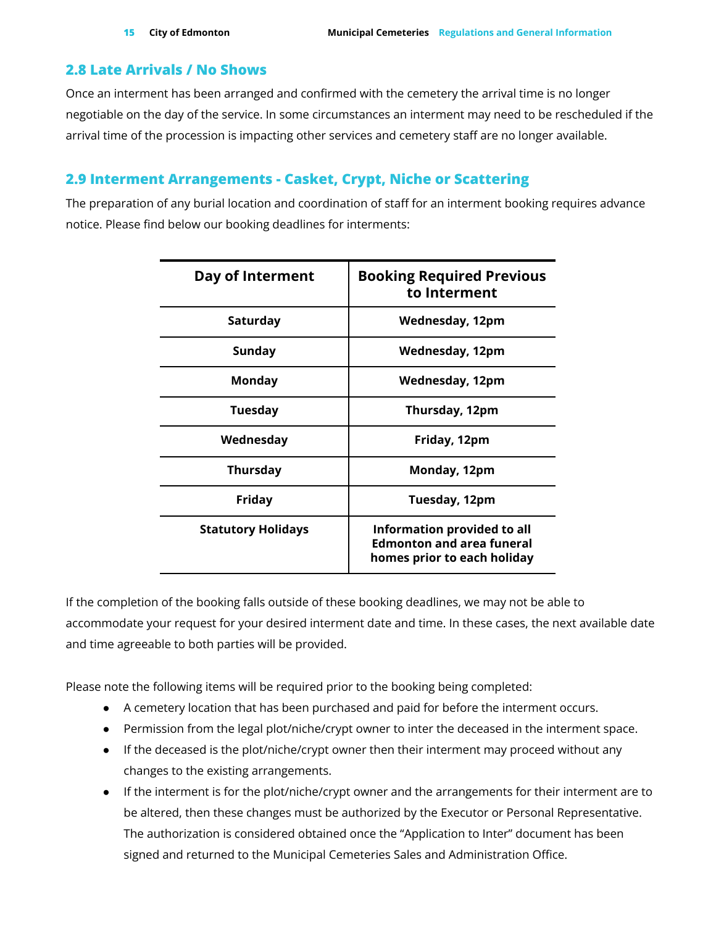### <span id="page-14-0"></span>**2.8 Late Arrivals / No Shows**

Once an interment has been arranged and confirmed with the cemetery the arrival time is no longer negotiable on the day of the service. In some circumstances an interment may need to be rescheduled if the arrival time of the procession is impacting other services and cemetery staff are no longer available.

### <span id="page-14-1"></span>**2.9 Interment Arrangements - Casket, Crypt, Niche or Scattering**

The preparation of any burial location and coordination of staff for an interment booking requires advance notice. Please find below our booking deadlines for interments:

| Day of Interment          | <b>Booking Required Previous</b><br>to Interment                                               |
|---------------------------|------------------------------------------------------------------------------------------------|
| Saturday                  | Wednesday, 12pm                                                                                |
| Sunday                    | Wednesday, 12pm                                                                                |
| Monday                    | Wednesday, 12pm                                                                                |
| Tuesday                   | Thursday, 12pm                                                                                 |
| Wednesday                 | Friday, 12pm                                                                                   |
| <b>Thursday</b>           | Monday, 12pm                                                                                   |
| Friday                    | Tuesday, 12pm                                                                                  |
| <b>Statutory Holidays</b> | Information provided to all<br><b>Edmonton and area funeral</b><br>homes prior to each holiday |

If the completion of the booking falls outside of these booking deadlines, we may not be able to accommodate your request for your desired interment date and time. In these cases, the next available date and time agreeable to both parties will be provided.

Please note the following items will be required prior to the booking being completed:

- A cemetery location that has been purchased and paid for before the interment occurs.
- Permission from the legal plot/niche/crypt owner to inter the deceased in the interment space.
- If the deceased is the plot/niche/crypt owner then their interment may proceed without any changes to the existing arrangements.
- If the interment is for the plot/niche/crypt owner and the arrangements for their interment are to be altered, then these changes must be authorized by the Executor or Personal Representative. The authorization is considered obtained once the "Application to Inter" document has been signed and returned to the Municipal Cemeteries Sales and Administration Office.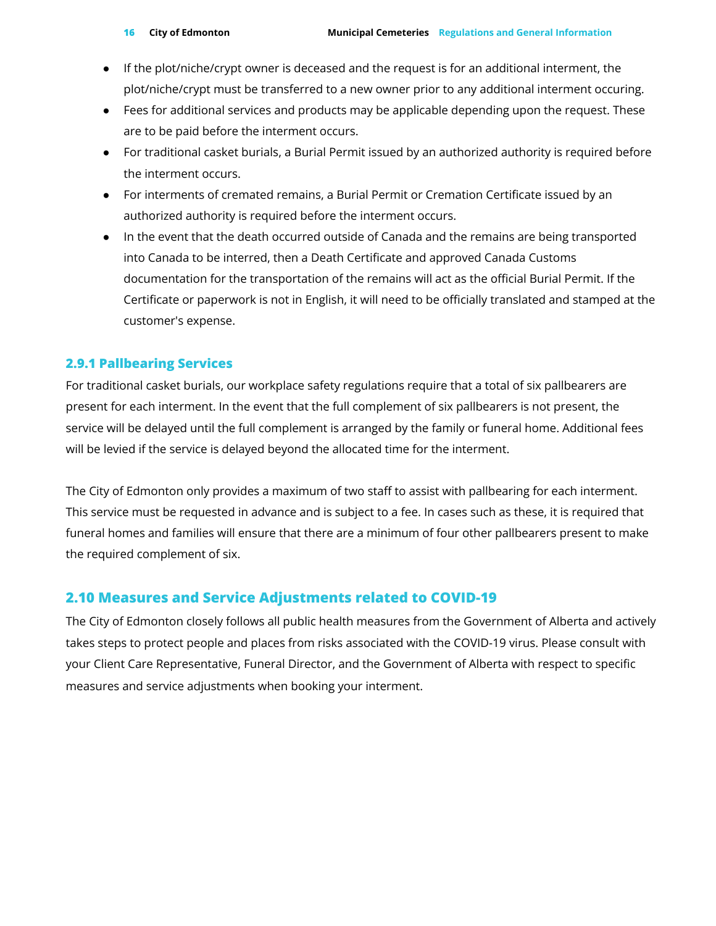- If the plot/niche/crypt owner is deceased and the request is for an additional interment, the plot/niche/crypt must be transferred to a new owner prior to any additional interment occuring.
- Fees for additional services and products may be applicable depending upon the request. These are to be paid before the interment occurs.
- For traditional casket burials, a Burial Permit issued by an authorized authority is required before the interment occurs.
- For interments of cremated remains, a Burial Permit or Cremation Certificate issued by an authorized authority is required before the interment occurs.
- In the event that the death occurred outside of Canada and the remains are being transported into Canada to be interred, then a Death Certificate and approved Canada Customs documentation for the transportation of the remains will act as the official Burial Permit. If the Certificate or paperwork is not in English, it will need to be officially translated and stamped at the customer's expense.

### <span id="page-15-0"></span>**2.9.1 Pallbearing Services**

For traditional casket burials, our workplace safety regulations require that a total of six pallbearers are present for each interment. In the event that the full complement of six pallbearers is not present, the service will be delayed until the full complement is arranged by the family or funeral home. Additional fees will be levied if the service is delayed beyond the allocated time for the interment.

The City of Edmonton only provides a maximum of two staff to assist with pallbearing for each interment. This service must be requested in advance and is subject to a fee. In cases such as these, it is required that funeral homes and families will ensure that there are a minimum of four other pallbearers present to make the required complement of six.

### <span id="page-15-1"></span>**2.10 Measures and Service Adjustments related to COVID-19**

The City of Edmonton closely follows all public health measures from the Government of Alberta and actively takes steps to protect people and places from risks associated with the COVID-19 virus. Please consult with your Client Care Representative, Funeral Director, and the Government of Alberta with respect to specific measures and service adjustments when booking your interment.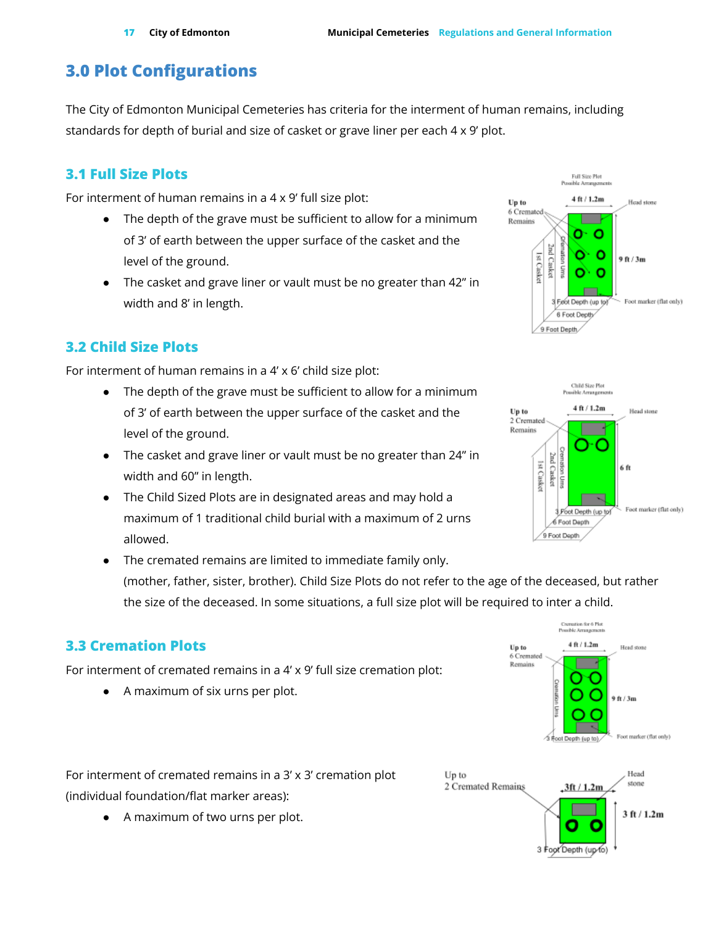# <span id="page-16-0"></span>**3.0 Plot Configurations**

The City of Edmonton Municipal Cemeteries has criteria for the interment of human remains, including standards for depth of burial and size of casket or grave liner per each 4 x 9' plot.

# <span id="page-16-1"></span>**3.1 Full Size Plots**

For interment of human remains in a 4 x 9' full size plot:

- The depth of the grave must be sufficient to allow for a minimum of 3' of earth between the upper surface of the casket and the level of the ground.
- The casket and grave liner or vault must be no greater than 42" in width and 8' in length.

# <span id="page-16-2"></span>**3.2 Child Size Plots**

For interment of human remains in a 4' x 6' child size plot:

- The depth of the grave must be sufficient to allow for a minimum of 3' of earth between the upper surface of the casket and the level of the ground.
- The casket and grave liner or vault must be no greater than 24" in width and 60" in length.
- The Child Sized Plots are in designated areas and may hold a maximum of 1 traditional child burial with a maximum of 2 urns allowed.
- The cremated remains are limited to immediate family only. (mother, father, sister, brother). Child Size Plots do not refer to the age of the deceased, but rather the size of the deceased. In some situations, a full size plot will be required to inter a child.

# <span id="page-16-3"></span>**3.3 Cremation Plots**

For interment of cremated remains in a 4' x 9' full size cremation plot:

A maximum of six urns per plot.

For interment of cremated remains in a 3' x 3' cremation plot (individual foundation/flat marker areas):

A maximum of two urns per plot.







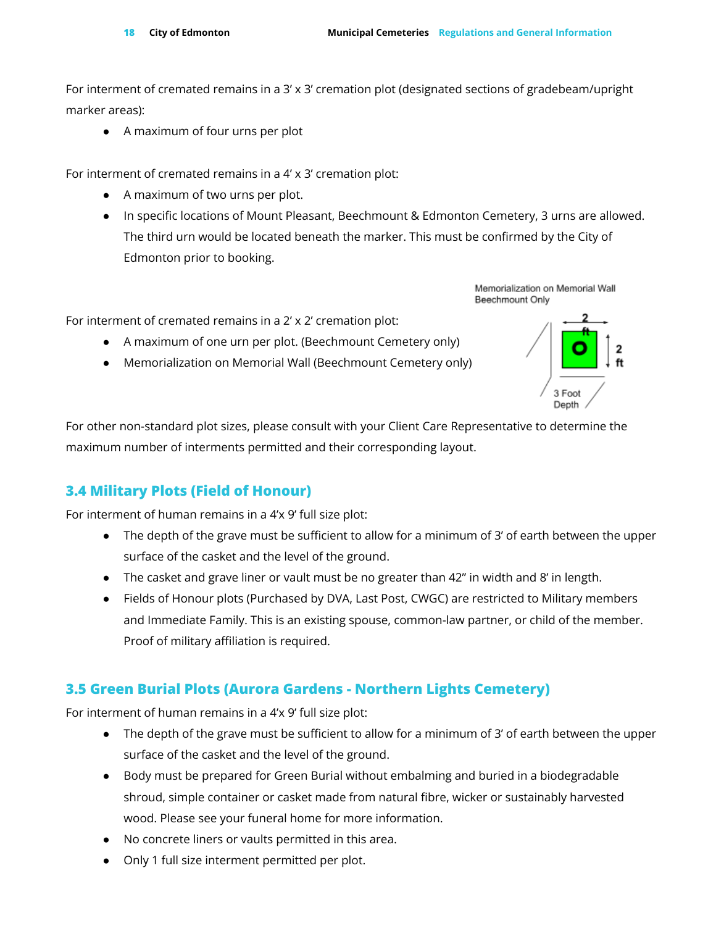For interment of cremated remains in a 3' x 3' cremation plot (designated sections of gradebeam/upright marker areas):

● A maximum of four urns per plot

For interment of cremated remains in a 4' x 3' cremation plot:

- A maximum of two urns per plot.
- In specific locations of Mount Pleasant, Beechmount & Edmonton Cemetery, 3 urns are allowed. The third urn would be located beneath the marker. This must be confirmed by the City of Edmonton prior to booking.

Memorialization on Memorial Wall Beechmount Only

For interment of cremated remains in a 2' x 2' cremation plot:

- A maximum of one urn per plot. (Beechmount Cemetery only)
- Memorialization on Memorial Wall (Beechmount Cemetery only)



For other non-standard plot sizes, please consult with your Client Care Representative to determine the maximum number of interments permitted and their corresponding layout.

### <span id="page-17-0"></span>**3.4 Military Plots (Field of Honour)**

For interment of human remains in a 4'x 9' full size plot:

- The depth of the grave must be sufficient to allow for a minimum of 3' of earth between the upper surface of the casket and the level of the ground.
- The casket and grave liner or vault must be no greater than 42" in width and 8' in length.
- Fields of Honour plots (Purchased by DVA, Last Post, CWGC) are restricted to Military members and Immediate Family. This is an existing spouse, common-law partner, or child of the member. Proof of military affiliation is required.

### <span id="page-17-1"></span>**3.5 Green Burial Plots (Aurora Gardens - Northern Lights Cemetery)**

For interment of human remains in a 4'x 9' full size plot:

- The depth of the grave must be sufficient to allow for a minimum of 3' of earth between the upper surface of the casket and the level of the ground.
- Body must be prepared for Green Burial without embalming and buried in a biodegradable shroud, simple container or casket made from natural fibre, wicker or sustainably harvested wood. Please see your funeral home for more information.
- No concrete liners or vaults permitted in this area.
- Only 1 full size interment permitted per plot.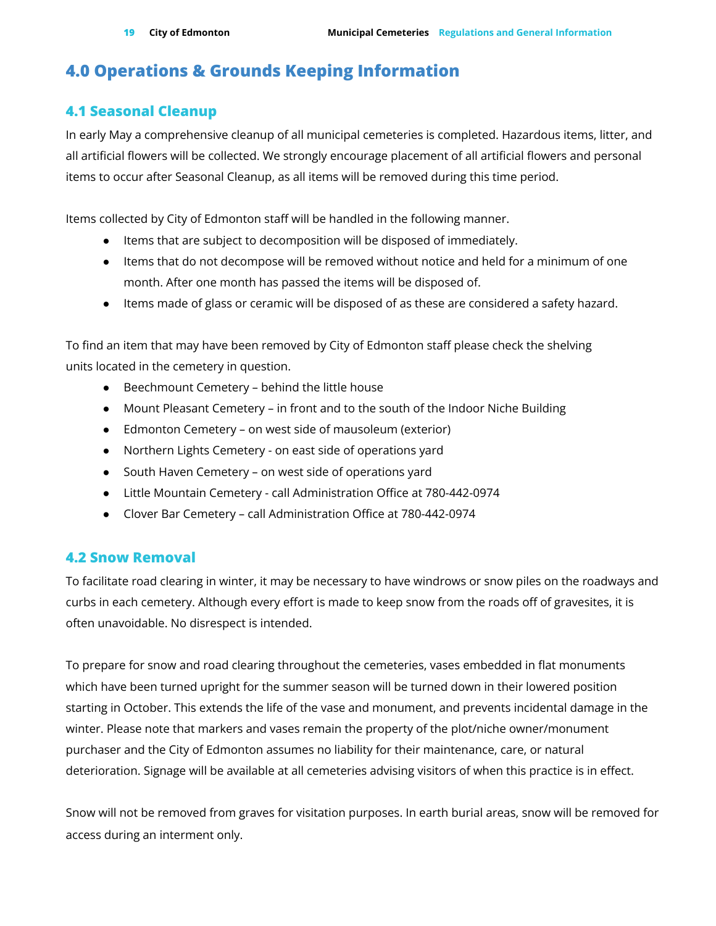# <span id="page-18-0"></span>**4.0 Operations & Grounds Keeping Information**

### <span id="page-18-1"></span>**4.1 Seasonal Cleanup**

In early May a comprehensive cleanup of all municipal cemeteries is completed. Hazardous items, litter, and all artificial flowers will be collected. We strongly encourage placement of all artificial flowers and personal items to occur after Seasonal Cleanup, as all items will be removed during this time period.

Items collected by City of Edmonton staff will be handled in the following manner.

- Items that are subject to decomposition will be disposed of immediately.
- Items that do not decompose will be removed without notice and held for a minimum of one month. After one month has passed the items will be disposed of.
- Items made of glass or ceramic will be disposed of as these are considered a safety hazard.

To find an item that may have been removed by City of Edmonton staff please check the shelving units located in the cemetery in question.

- Beechmount Cemetery behind the little house
- Mount Pleasant Cemetery in front and to the south of the Indoor Niche Building
- Edmonton Cemetery on west side of mausoleum (exterior)
- Northern Lights Cemetery on east side of operations yard
- South Haven Cemetery on west side of operations yard
- Little Mountain Cemetery call Administration Office at 780-442-0974
- Clover Bar Cemetery call Administration Office at 780-442-0974

### <span id="page-18-2"></span>**4.2 Snow Removal**

To facilitate road clearing in winter, it may be necessary to have windrows or snow piles on the roadways and curbs in each cemetery. Although every effort is made to keep snow from the roads off of gravesites, it is often unavoidable. No disrespect is intended.

To prepare for snow and road clearing throughout the cemeteries, vases embedded in flat monuments which have been turned upright for the summer season will be turned down in their lowered position starting in October. This extends the life of the vase and monument, and prevents incidental damage in the winter. Please note that markers and vases remain the property of the plot/niche owner/monument purchaser and the City of Edmonton assumes no liability for their maintenance, care, or natural deterioration. Signage will be available at all cemeteries advising visitors of when this practice is in effect.

Snow will not be removed from graves for visitation purposes. In earth burial areas, snow will be removed for access during an interment only.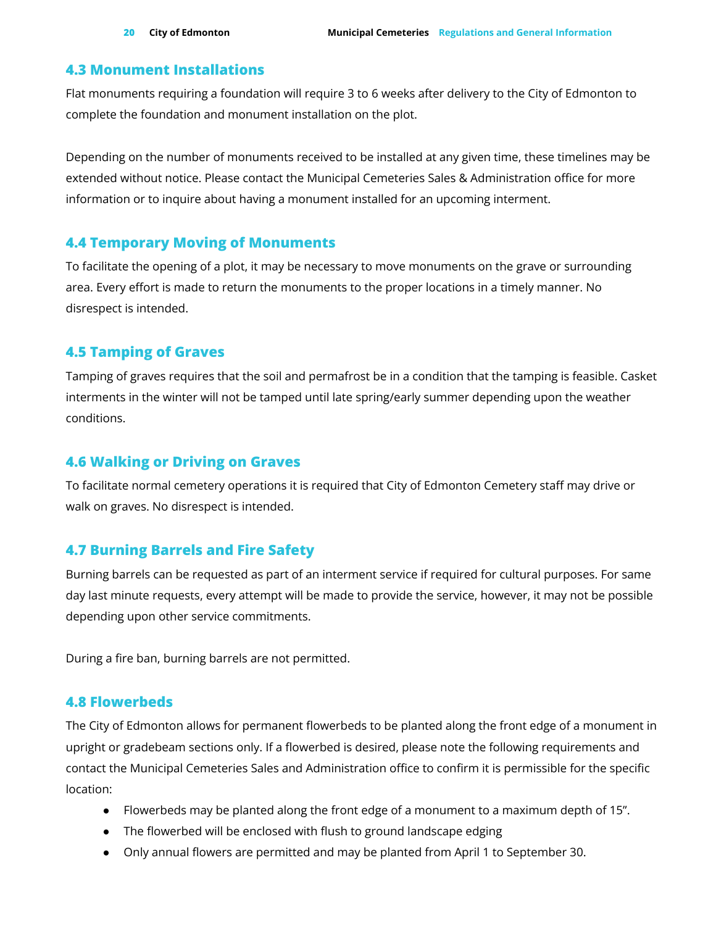### <span id="page-19-0"></span>**4.3 Monument Installations**

Flat monuments requiring a foundation will require 3 to 6 weeks after delivery to the City of Edmonton to complete the foundation and monument installation on the plot.

Depending on the number of monuments received to be installed at any given time, these timelines may be extended without notice. Please contact the Municipal Cemeteries Sales & Administration office for more information or to inquire about having a monument installed for an upcoming interment.

### <span id="page-19-1"></span>**4.4 Temporary Moving of Monuments**

To facilitate the opening of a plot, it may be necessary to move monuments on the grave or surrounding area. Every effort is made to return the monuments to the proper locations in a timely manner. No disrespect is intended.

### <span id="page-19-2"></span>**4.5 Tamping of Graves**

Tamping of graves requires that the soil and permafrost be in a condition that the tamping is feasible. Casket interments in the winter will not be tamped until late spring/early summer depending upon the weather conditions.

### <span id="page-19-3"></span>**4.6 Walking or Driving on Graves**

To facilitate normal cemetery operations it is required that City of Edmonton Cemetery staff may drive or walk on graves. No disrespect is intended.

### <span id="page-19-4"></span>**4.7 Burning Barrels and Fire Safety**

Burning barrels can be requested as part of an interment service if required for cultural purposes. For same day last minute requests, every attempt will be made to provide the service, however, it may not be possible depending upon other service commitments.

During a fire ban, burning barrels are not permitted.

### <span id="page-19-5"></span>**4.8 Flowerbeds**

The City of Edmonton allows for permanent flowerbeds to be planted along the front edge of a monument in upright or gradebeam sections only. If a flowerbed is desired, please note the following requirements and contact the Municipal Cemeteries Sales and Administration office to confirm it is permissible for the specific location:

- Flowerbeds may be planted along the front edge of a monument to a maximum depth of 15".
- The flowerbed will be enclosed with flush to ground landscape edging
- Only annual flowers are permitted and may be planted from April 1 to September 30.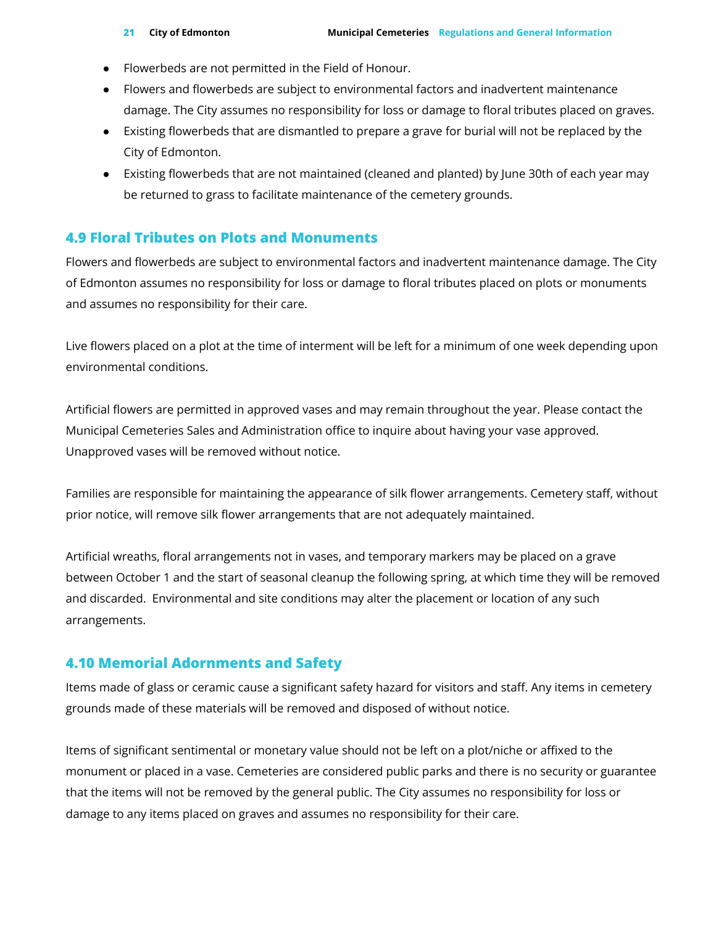- Flowerbeds are not permitted in the Field of Honour.
- Flowers and flowerbeds are subject to environmental factors and inadvertent maintenance damage. The City assumes no responsibility for loss or damage to floral tributes placed on graves.
- Existing flowerbeds that are dismantled to prepare a grave for burial will not be replaced by the City of Edmonton.
- Existing flowerbeds that are not maintained (cleaned and planted) by June 30th of each year may be returned to grass to facilitate maintenance of the cemetery grounds.

### <span id="page-20-0"></span>**4.9 Floral Tributes on Plots and Monuments**

Flowers and flowerbeds are subject to environmental factors and inadvertent maintenance damage. The City of Edmonton assumes no responsibility for loss or damage to floral tributes placed on plots or monuments and assumes no responsibility for their care.

Live flowers placed on a plot at the time of interment will be left for a minimum of one week depending upon environmental conditions.

Artificial flowers are permitted in approved vases and may remain throughout the year. Please contact the Municipal Cemeteries Sales and Administration office to inquire about having your vase approved. Unapproved vases will be removed without notice.

Families are responsible for maintaining the appearance of silk flower arrangements. Cemetery staff, without prior notice, will remove silk flower arrangements that are not adequately maintained.

Artificial wreaths, floral arrangements not in vases, and temporary markers may be placed on a grave between October 1 and the start of seasonal cleanup the following spring, at which time they will be removed and discarded. Environmental and site conditions may alter the placement or location of any such arrangements.

### <span id="page-20-1"></span>**4.10 Memorial Adornments and Safety**

Items made of glass or ceramic cause a significant safety hazard for visitors and staff. Any items in cemetery grounds made of these materials will be removed and disposed of without notice.

Items of significant sentimental or monetary value should not be left on a plot/niche or affixed to the monument or placed in a vase. Cemeteries are considered public parks and there is no security or guarantee that the items will not be removed by the general public. The City assumes no responsibility for loss or damage to any items placed on graves and assumes no responsibility for their care.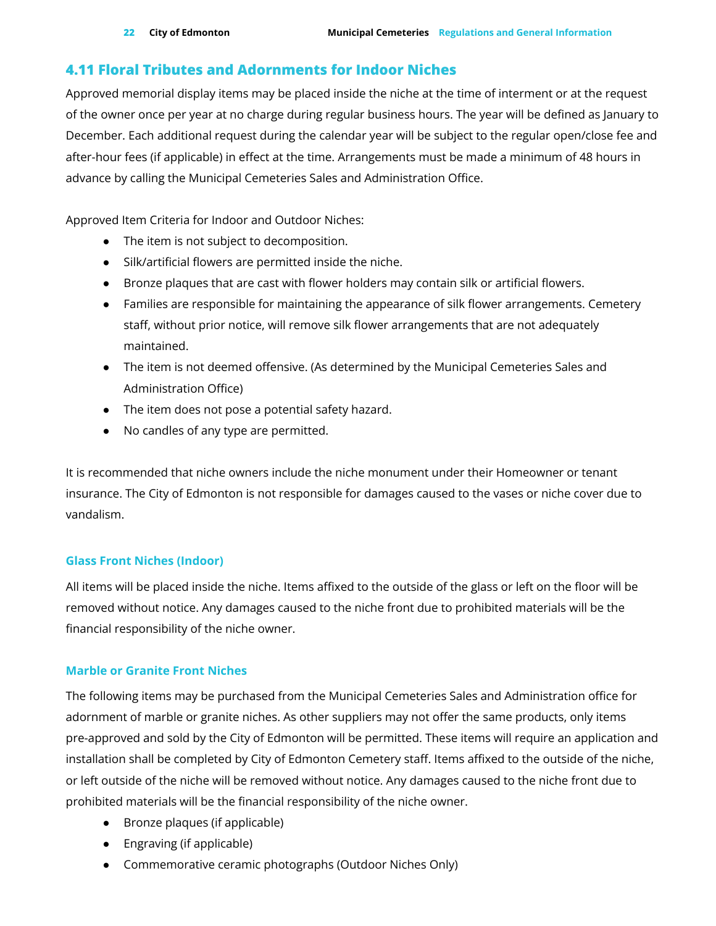### <span id="page-21-0"></span>**4.11 Floral Tributes and Adornments for Indoor Niches**

Approved memorial display items may be placed inside the niche at the time of interment or at the request of the owner once per year at no charge during regular business hours. The year will be defined as January to December. Each additional request during the calendar year will be subject to the regular open/close fee and after-hour fees (if applicable) in effect at the time. Arrangements must be made a minimum of 48 hours in advance by calling the Municipal Cemeteries Sales and Administration Office.

Approved Item Criteria for Indoor and Outdoor Niches:

- The item is not subject to decomposition.
- Silk/artificial flowers are permitted inside the niche.
- Bronze plaques that are cast with flower holders may contain silk or artificial flowers.
- Families are responsible for maintaining the appearance of silk flower arrangements. Cemetery staff, without prior notice, will remove silk flower arrangements that are not adequately maintained.
- The item is not deemed offensive. (As determined by the Municipal Cemeteries Sales and Administration Office)
- The item does not pose a potential safety hazard.
- No candles of any type are permitted.

It is recommended that niche owners include the niche monument under their Homeowner or tenant insurance. The City of Edmonton is not responsible for damages caused to the vases or niche cover due to vandalism.

### **Glass Front Niches (Indoor)**

All items will be placed inside the niche. Items affixed to the outside of the glass or left on the floor will be removed without notice. Any damages caused to the niche front due to prohibited materials will be the financial responsibility of the niche owner.

### **Marble or Granite Front Niches**

The following items may be purchased from the Municipal Cemeteries Sales and Administration office for adornment of marble or granite niches. As other suppliers may not offer the same products, only items pre-approved and sold by the City of Edmonton will be permitted. These items will require an application and installation shall be completed by City of Edmonton Cemetery staff. Items affixed to the outside of the niche, or left outside of the niche will be removed without notice. Any damages caused to the niche front due to prohibited materials will be the financial responsibility of the niche owner.

- Bronze plaques (if applicable)
- Engraving (if applicable)
- Commemorative ceramic photographs (Outdoor Niches Only)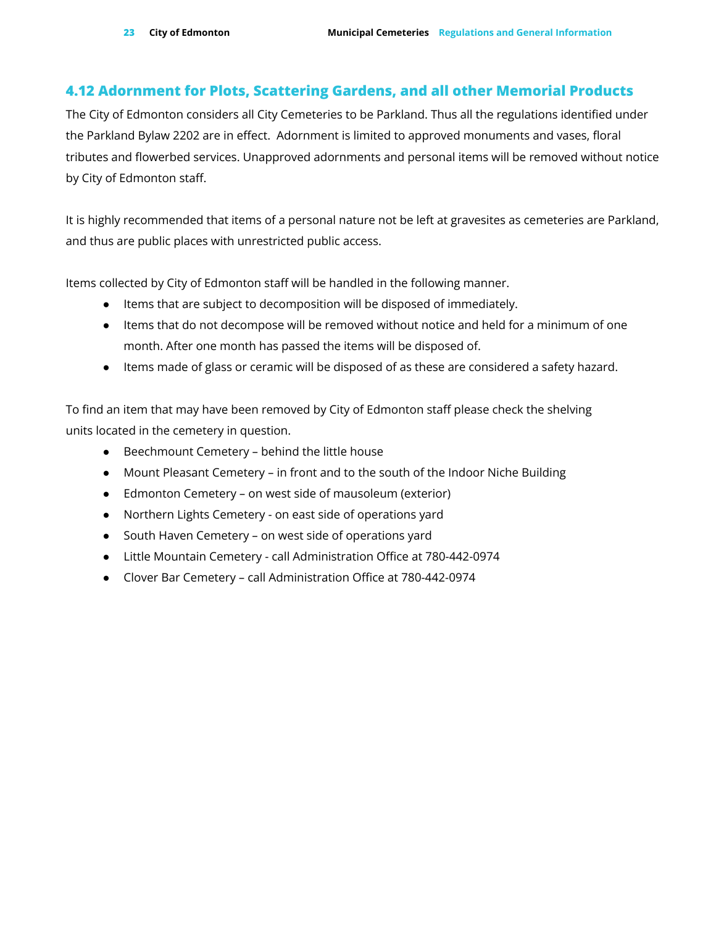### <span id="page-22-0"></span>**4.12 Adornment for Plots, Scattering Gardens, and all other Memorial Products**

The City of Edmonton considers all City Cemeteries to be Parkland. Thus all the regulations identified under the Parkland Bylaw 2202 are in effect. Adornment is limited to approved monuments and vases, floral tributes and flowerbed services. Unapproved adornments and personal items will be removed without notice by City of Edmonton staff.

It is highly recommended that items of a personal nature not be left at gravesites as cemeteries are Parkland, and thus are public places with unrestricted public access.

Items collected by City of Edmonton staff will be handled in the following manner.

- Items that are subject to decomposition will be disposed of immediately.
- Items that do not decompose will be removed without notice and held for a minimum of one month. After one month has passed the items will be disposed of.
- Items made of glass or ceramic will be disposed of as these are considered a safety hazard.

To find an item that may have been removed by City of Edmonton staff please check the shelving units located in the cemetery in question.

- Beechmount Cemetery behind the little house
- Mount Pleasant Cemetery in front and to the south of the Indoor Niche Building
- Edmonton Cemetery on west side of mausoleum (exterior)
- Northern Lights Cemetery on east side of operations yard
- South Haven Cemetery on west side of operations yard
- Little Mountain Cemetery call Administration Office at 780-442-0974
- Clover Bar Cemetery call Administration Office at 780-442-0974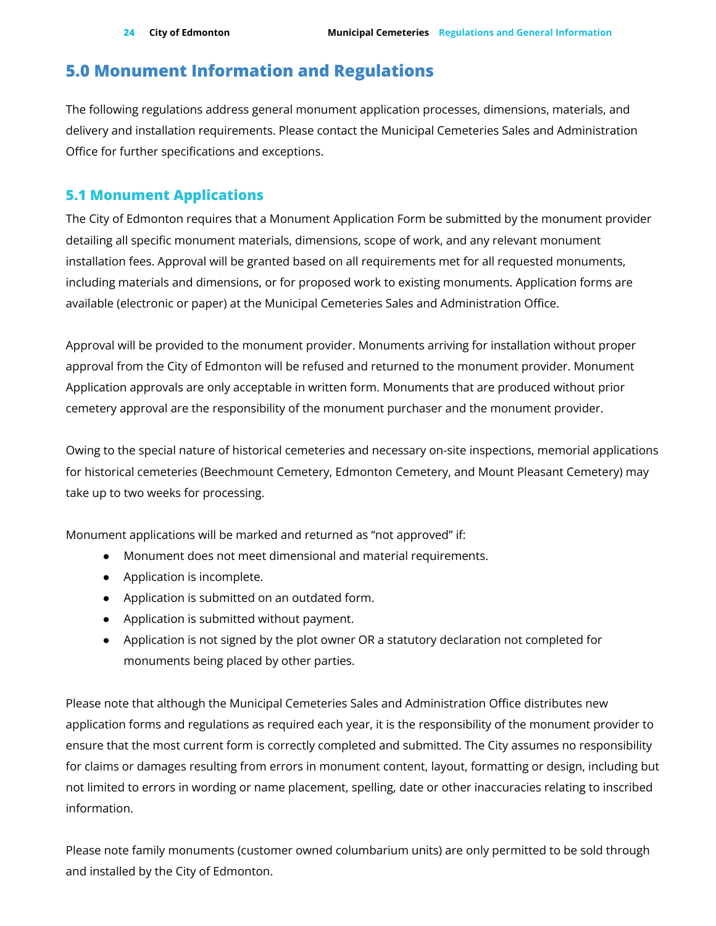## <span id="page-23-0"></span>**5.0 Monument Information and Regulations**

The following regulations address general monument application processes, dimensions, materials, and delivery and installation requirements. Please contact the Municipal Cemeteries Sales and Administration Office for further specifications and exceptions.

### <span id="page-23-1"></span>**5.1 Monument Applications**

The City of Edmonton requires that a Monument Application Form be submitted by the monument provider detailing all specific monument materials, dimensions, scope of work, and any relevant monument installation fees. Approval will be granted based on all requirements met for all requested monuments, including materials and dimensions, or for proposed work to existing monuments. Application forms are available (electronic or paper) at the Municipal Cemeteries Sales and Administration Office.

Approval will be provided to the monument provider. Monuments arriving for installation without proper approval from the City of Edmonton will be refused and returned to the monument provider. Monument Application approvals are only acceptable in written form. Monuments that are produced without prior cemetery approval are the responsibility of the monument purchaser and the monument provider.

Owing to the special nature of historical cemeteries and necessary on-site inspections, memorial applications for historical cemeteries (Beechmount Cemetery, Edmonton Cemetery, and Mount Pleasant Cemetery) may take up to two weeks for processing.

Monument applications will be marked and returned as "not approved" if:

- Monument does not meet dimensional and material requirements.
- Application is incomplete.
- Application is submitted on an outdated form.
- Application is submitted without payment.
- Application is not signed by the plot owner OR a statutory declaration not completed for monuments being placed by other parties.

Please note that although the Municipal Cemeteries Sales and Administration Office distributes new application forms and regulations as required each year, it is the responsibility of the monument provider to ensure that the most current form is correctly completed and submitted. The City assumes no responsibility for claims or damages resulting from errors in monument content, layout, formatting or design, including but not limited to errors in wording or name placement, spelling, date or other inaccuracies relating to inscribed information.

Please note family monuments (customer owned columbarium units) are only permitted to be sold through and installed by the City of Edmonton.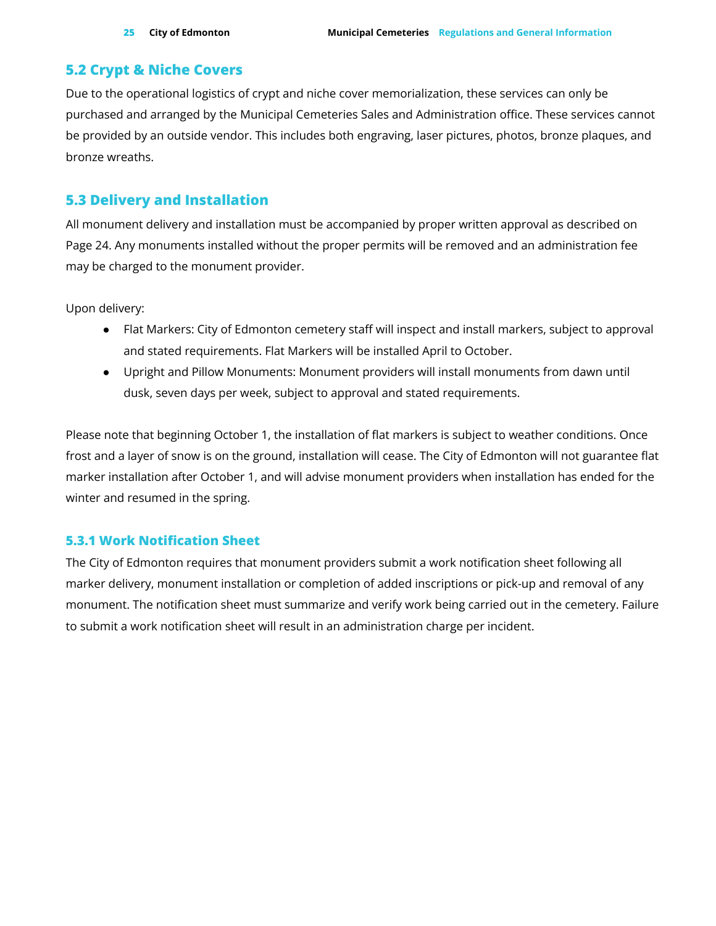### <span id="page-24-0"></span>**5.2 Crypt & Niche Covers**

Due to the operational logistics of crypt and niche cover memorialization, these services can only be purchased and arranged by the Municipal Cemeteries Sales and Administration office. These services cannot be provided by an outside vendor. This includes both engraving, laser pictures, photos, bronze plaques, and bronze wreaths.

### <span id="page-24-1"></span>**5.3 Delivery and Installation**

All monument delivery and installation must be accompanied by proper written approval as described on Page 24. Any monuments installed without the proper permits will be removed and an administration fee may be charged to the monument provider.

Upon delivery:

- Flat Markers: City of Edmonton cemetery staff will inspect and install markers, subject to approval and stated requirements. Flat Markers will be installed April to October.
- Upright and Pillow Monuments: Monument providers will install monuments from dawn until dusk, seven days per week, subject to approval and stated requirements.

Please note that beginning October 1, the installation of flat markers is subject to weather conditions. Once frost and a layer of snow is on the ground, installation will cease. The City of Edmonton will not guarantee flat marker installation after October 1, and will advise monument providers when installation has ended for the winter and resumed in the spring.

### <span id="page-24-2"></span>**5.3.1 Work Notification Sheet**

The City of Edmonton requires that monument providers submit a work notification sheet following all marker delivery, monument installation or completion of added inscriptions or pick-up and removal of any monument. The notification sheet must summarize and verify work being carried out in the cemetery. Failure to submit a work notification sheet will result in an administration charge per incident.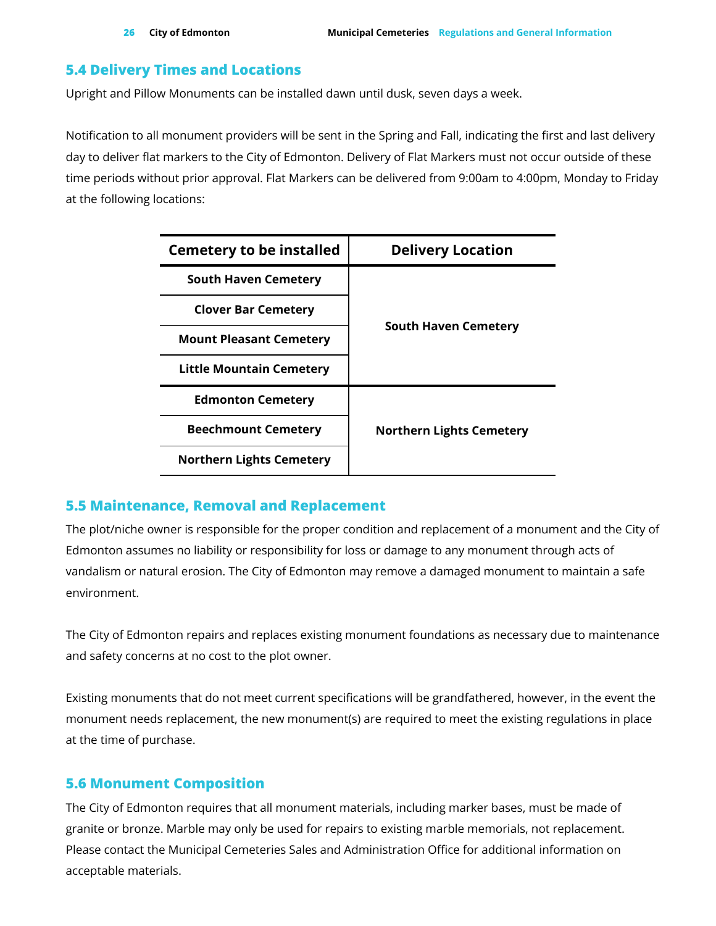### <span id="page-25-0"></span>**5.4 Delivery Times and Locations**

Upright and Pillow Monuments can be installed dawn until dusk, seven days a week.

Notification to all monument providers will be sent in the Spring and Fall, indicating the first and last delivery day to deliver flat markers to the City of Edmonton. Delivery of Flat Markers must not occur outside of these time periods without prior approval. Flat Markers can be delivered from 9:00am to 4:00pm, Monday to Friday at the following locations:

| <b>Cemetery to be installed</b> | <b>Delivery Location</b>        |
|---------------------------------|---------------------------------|
| <b>South Haven Cemetery</b>     |                                 |
| <b>Clover Bar Cemetery</b>      |                                 |
| <b>Mount Pleasant Cemetery</b>  | <b>South Haven Cemetery</b>     |
| <b>Little Mountain Cemetery</b> |                                 |
| <b>Edmonton Cemetery</b>        |                                 |
| <b>Beechmount Cemetery</b>      | <b>Northern Lights Cemetery</b> |
| <b>Northern Lights Cemetery</b> |                                 |

### <span id="page-25-1"></span>**5.5 Maintenance, Removal and Replacement**

The plot/niche owner is responsible for the proper condition and replacement of a monument and the City of Edmonton assumes no liability or responsibility for loss or damage to any monument through acts of vandalism or natural erosion. The City of Edmonton may remove a damaged monument to maintain a safe environment.

The City of Edmonton repairs and replaces existing monument foundations as necessary due to maintenance and safety concerns at no cost to the plot owner.

Existing monuments that do not meet current specifications will be grandfathered, however, in the event the monument needs replacement, the new monument(s) are required to meet the existing regulations in place at the time of purchase.

### <span id="page-25-2"></span>**5.6 Monument Composition**

The City of Edmonton requires that all monument materials, including marker bases, must be made of granite or bronze. Marble may only be used for repairs to existing marble memorials, not replacement. Please contact the Municipal Cemeteries Sales and Administration Office for additional information on acceptable materials.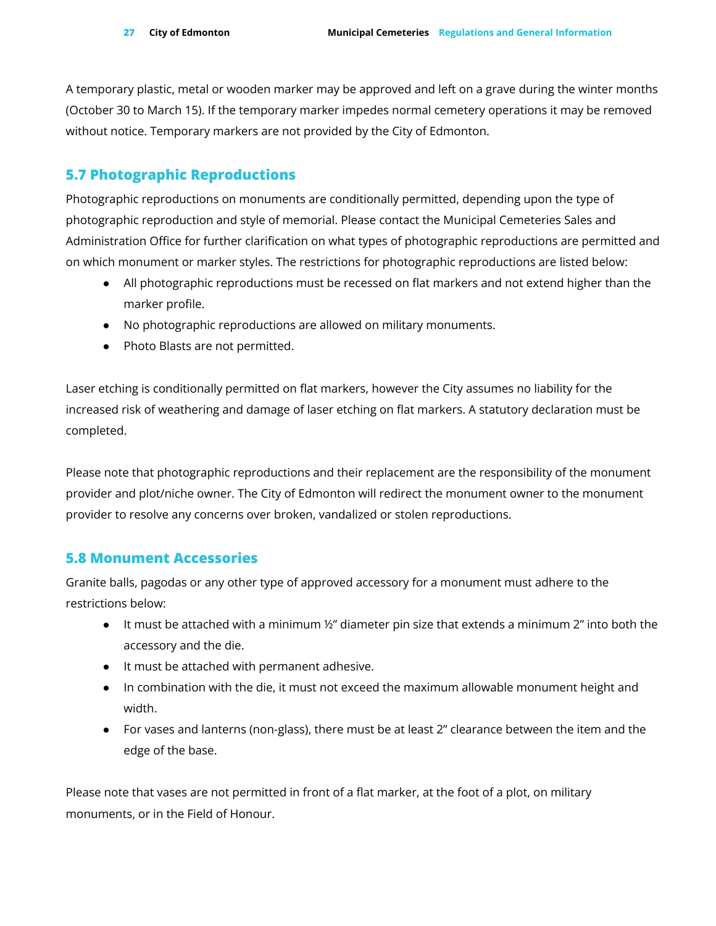A temporary plastic, metal or wooden marker may be approved and left on a grave during the winter months (October 30 to March 15). If the temporary marker impedes normal cemetery operations it may be removed without notice. Temporary markers are not provided by the City of Edmonton.

### <span id="page-26-0"></span>**5.7 Photographic Reproductions**

Photographic reproductions on monuments are conditionally permitted, depending upon the type of photographic reproduction and style of memorial. Please contact the Municipal Cemeteries Sales and Administration Office for further clarification on what types of photographic reproductions are permitted and on which monument or marker styles. The restrictions for photographic reproductions are listed below:

- All photographic reproductions must be recessed on flat markers and not extend higher than the marker profile.
- No photographic reproductions are allowed on military monuments.
- Photo Blasts are not permitted.

Laser etching is conditionally permitted on flat markers, however the City assumes no liability for the increased risk of weathering and damage of laser etching on flat markers. A statutory declaration must be completed.

Please note that photographic reproductions and their replacement are the responsibility of the monument provider and plot/niche owner. The City of Edmonton will redirect the monument owner to the monument provider to resolve any concerns over broken, vandalized or stolen reproductions.

### <span id="page-26-1"></span>**5.8 Monument Accessories**

Granite balls, pagodas or any other type of approved accessory for a monument must adhere to the restrictions below:

- $\bullet$  It must be attached with a minimum  $\frac{1}{2}$ " diameter pin size that extends a minimum 2" into both the accessory and the die.
- It must be attached with permanent adhesive.
- In combination with the die, it must not exceed the maximum allowable monument height and width.
- For vases and lanterns (non-glass), there must be at least 2" clearance between the item and the edge of the base.

Please note that vases are not permitted in front of a flat marker, at the foot of a plot, on military monuments, or in the Field of Honour.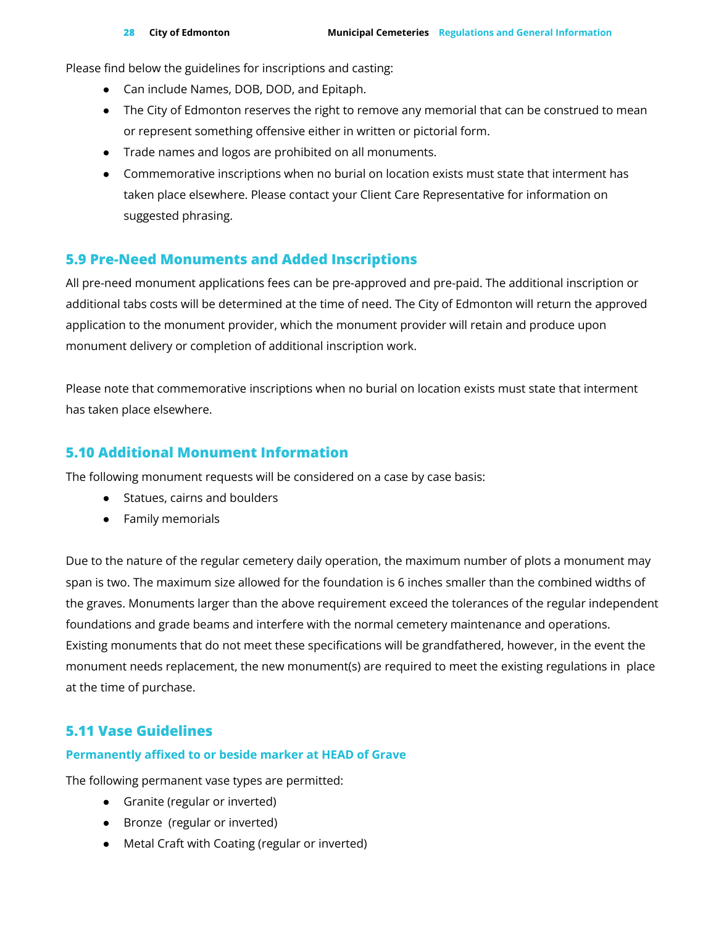Please find below the guidelines for inscriptions and casting:

- Can include Names, DOB, DOD, and Epitaph.
- The City of Edmonton reserves the right to remove any memorial that can be construed to mean or represent something offensive either in written or pictorial form.
- Trade names and logos are prohibited on all monuments.
- Commemorative inscriptions when no burial on location exists must state that interment has taken place elsewhere. Please contact your Client Care Representative for information on suggested phrasing.

### <span id="page-27-0"></span>**5.9 Pre-Need Monuments and Added Inscriptions**

All pre-need monument applications fees can be pre-approved and pre-paid. The additional inscription or additional tabs costs will be determined at the time of need. The City of Edmonton will return the approved application to the monument provider, which the monument provider will retain and produce upon monument delivery or completion of additional inscription work.

Please note that commemorative inscriptions when no burial on location exists must state that interment has taken place elsewhere.

### <span id="page-27-1"></span>**5.10 Additional Monument Information**

The following monument requests will be considered on a case by case basis:

- Statues, cairns and boulders
- Family memorials

Due to the nature of the regular cemetery daily operation, the maximum number of plots a monument may span is two. The maximum size allowed for the foundation is 6 inches smaller than the combined widths of the graves. Monuments larger than the above requirement exceed the tolerances of the regular independent foundations and grade beams and interfere with the normal cemetery maintenance and operations. Existing monuments that do not meet these specifications will be grandfathered, however, in the event the monument needs replacement, the new monument(s) are required to meet the existing regulations in place at the time of purchase.

### <span id="page-27-2"></span>**5.11 Vase Guidelines**

### **Permanently affixed to or beside marker at HEAD of Grave**

The following permanent vase types are permitted:

- Granite (regular or inverted)
- Bronze (regular or inverted)
- Metal Craft with Coating (regular or inverted)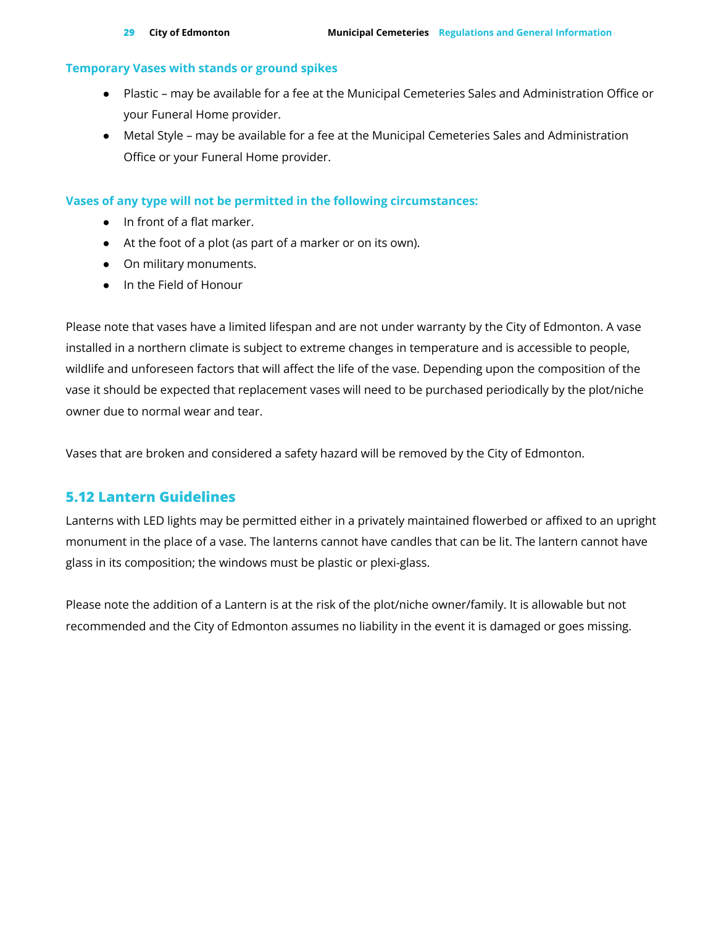#### **Temporary Vases with stands or ground spikes**

- Plastic may be available for a fee at the Municipal Cemeteries Sales and Administration Office or your Funeral Home provider.
- Metal Style may be available for a fee at the Municipal Cemeteries Sales and Administration Office or your Funeral Home provider.

#### **Vases of any type will not be permitted in the following circumstances:**

- In front of a flat marker.
- At the foot of a plot (as part of a marker or on its own).
- On military monuments.
- In the Field of Honour

Please note that vases have a limited lifespan and are not under warranty by the City of Edmonton. A vase installed in a northern climate is subject to extreme changes in temperature and is accessible to people, wildlife and unforeseen factors that will affect the life of the vase. Depending upon the composition of the vase it should be expected that replacement vases will need to be purchased periodically by the plot/niche owner due to normal wear and tear.

Vases that are broken and considered a safety hazard will be removed by the City of Edmonton.

### <span id="page-28-0"></span>**5.12 Lantern Guidelines**

Lanterns with LED lights may be permitted either in a privately maintained flowerbed or affixed to an upright monument in the place of a vase. The lanterns cannot have candles that can be lit. The lantern cannot have glass in its composition; the windows must be plastic or plexi-glass.

Please note the addition of a Lantern is at the risk of the plot/niche owner/family. It is allowable but not recommended and the City of Edmonton assumes no liability in the event it is damaged or goes missing.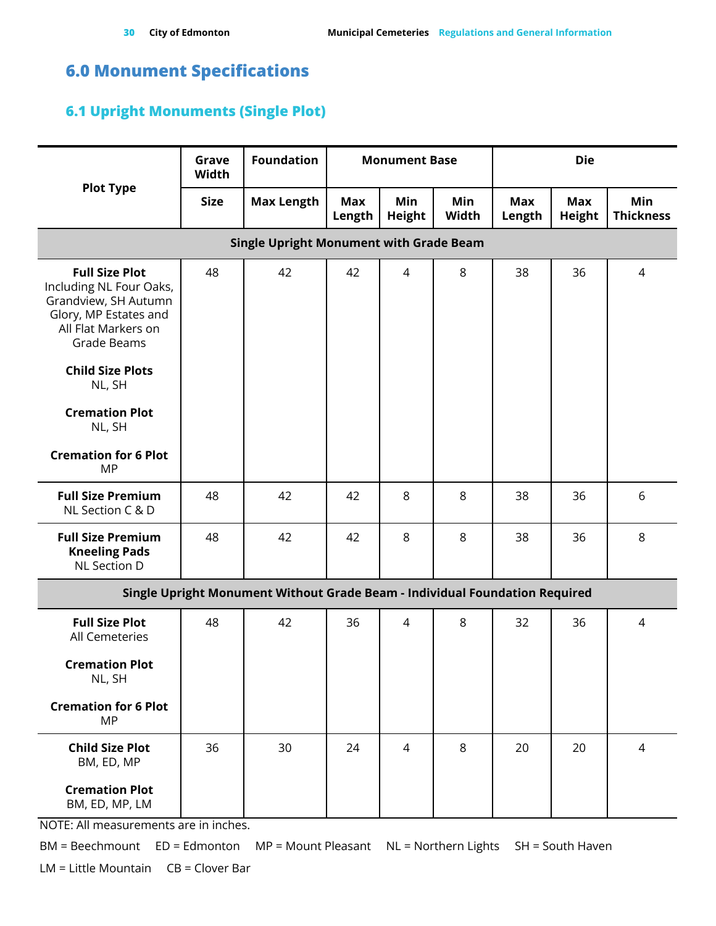# <span id="page-29-0"></span>**6.0 Monument Specifications**

### <span id="page-29-1"></span>**6.1 Upright Monuments (Single Plot)**

|                                                                                                                                                | Grave<br>Width                                 | <b>Foundation</b>                                                           |                      | <b>Monument Base</b> |              |                      | <b>Die</b>                  |                         |  |  |
|------------------------------------------------------------------------------------------------------------------------------------------------|------------------------------------------------|-----------------------------------------------------------------------------|----------------------|----------------------|--------------|----------------------|-----------------------------|-------------------------|--|--|
| <b>Plot Type</b>                                                                                                                               | <b>Size</b>                                    | <b>Max Length</b>                                                           | <b>Max</b><br>Length | Min<br><b>Height</b> | Min<br>Width | <b>Max</b><br>Length | <b>Max</b><br><b>Height</b> | Min<br><b>Thickness</b> |  |  |
|                                                                                                                                                | <b>Single Upright Monument with Grade Beam</b> |                                                                             |                      |                      |              |                      |                             |                         |  |  |
| <b>Full Size Plot</b><br>Including NL Four Oaks,<br>Grandview, SH Autumn<br>Glory, MP Estates and<br>All Flat Markers on<br><b>Grade Beams</b> | 48                                             | 42                                                                          | 42                   | $\overline{4}$       | 8            | 38                   | 36                          | 4                       |  |  |
| <b>Child Size Plots</b><br>NL, SH                                                                                                              |                                                |                                                                             |                      |                      |              |                      |                             |                         |  |  |
| <b>Cremation Plot</b><br>NL, SH                                                                                                                |                                                |                                                                             |                      |                      |              |                      |                             |                         |  |  |
| <b>Cremation for 6 Plot</b><br><b>MP</b>                                                                                                       |                                                |                                                                             |                      |                      |              |                      |                             |                         |  |  |
| <b>Full Size Premium</b><br>NL Section C & D                                                                                                   | 48                                             | 42                                                                          | 42                   | 8                    | 8            | 38                   | 36                          | 6                       |  |  |
| <b>Full Size Premium</b><br><b>Kneeling Pads</b><br>NL Section D                                                                               | 48                                             | 42                                                                          | 42                   | 8                    | 8            | 38                   | 36                          | 8                       |  |  |
|                                                                                                                                                |                                                | Single Upright Monument Without Grade Beam - Individual Foundation Required |                      |                      |              |                      |                             |                         |  |  |
| <b>Full Size Plot</b><br>All Cemeteries                                                                                                        | 48                                             | 42                                                                          | 36                   | $\overline{4}$       | 8            | 32                   | 36                          | 4                       |  |  |
| <b>Cremation Plot</b><br>NL, SH                                                                                                                |                                                |                                                                             |                      |                      |              |                      |                             |                         |  |  |
| <b>Cremation for 6 Plot</b><br><b>MP</b>                                                                                                       |                                                |                                                                             |                      |                      |              |                      |                             |                         |  |  |
| <b>Child Size Plot</b><br>BM, ED, MP                                                                                                           | 36                                             | 30                                                                          | 24                   | $\overline{4}$       | 8            | 20                   | 20                          | $\overline{4}$          |  |  |
| <b>Cremation Plot</b><br>BM, ED, MP, LM                                                                                                        |                                                |                                                                             |                      |                      |              |                      |                             |                         |  |  |

NOTE: All measurements are in inches.

BM = Beechmount ED = Edmonton MP = Mount Pleasant NL = Northern Lights SH = South Haven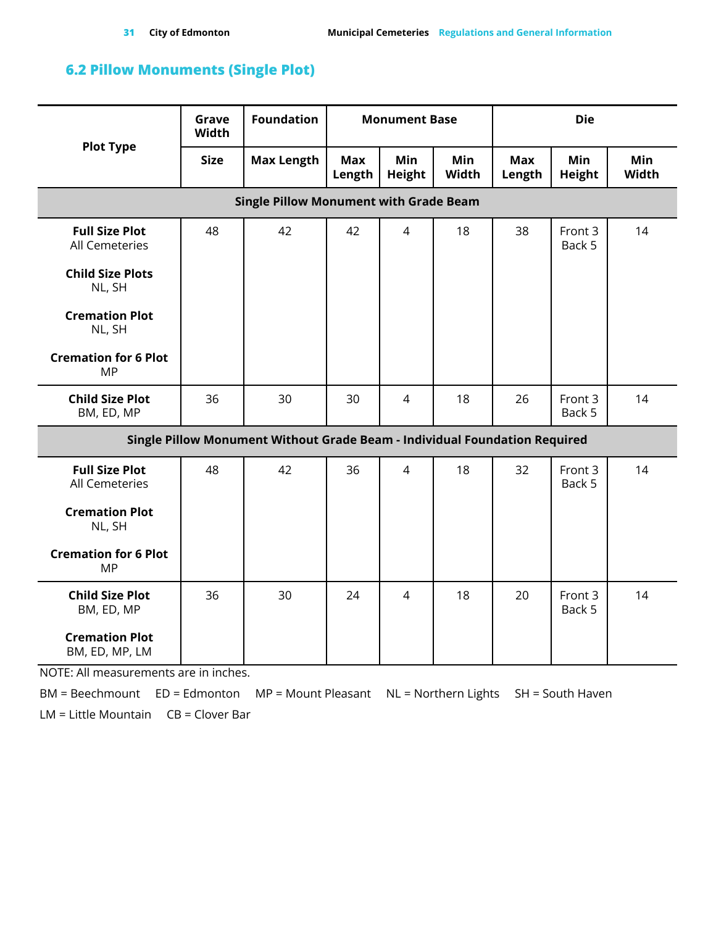### <span id="page-30-0"></span>**6.2 Pillow Monuments (Single Plot)**

| <b>Plot Type</b>                               | Grave<br>Width | <b>Foundation</b>                                                          | <b>Monument Base</b> |                             |                     | <b>Die</b>           |                             |                     |  |
|------------------------------------------------|----------------|----------------------------------------------------------------------------|----------------------|-----------------------------|---------------------|----------------------|-----------------------------|---------------------|--|
|                                                | <b>Size</b>    | <b>Max Length</b>                                                          | <b>Max</b><br>Length | <b>Min</b><br><b>Height</b> | <b>Min</b><br>Width | <b>Max</b><br>Length | <b>Min</b><br><b>Height</b> | <b>Min</b><br>Width |  |
| <b>Single Pillow Monument with Grade Beam</b>  |                |                                                                            |                      |                             |                     |                      |                             |                     |  |
| <b>Full Size Plot</b><br>All Cemeteries        | 48             | 42                                                                         | 42                   | $\overline{4}$              | 18                  | 38                   | Front 3<br>Back 5           | 14                  |  |
| <b>Child Size Plots</b><br>NL, SH              |                |                                                                            |                      |                             |                     |                      |                             |                     |  |
| <b>Cremation Plot</b><br>NL, SH                |                |                                                                            |                      |                             |                     |                      |                             |                     |  |
| <b>Cremation for 6 Plot</b><br><b>MP</b>       |                |                                                                            |                      |                             |                     |                      |                             |                     |  |
| <b>Child Size Plot</b><br>BM, ED, MP           | 36             | 30                                                                         | 30                   | $\overline{4}$              | 18                  | 26                   | Front 3<br>Back 5           | 14                  |  |
|                                                |                | Single Pillow Monument Without Grade Beam - Individual Foundation Required |                      |                             |                     |                      |                             |                     |  |
| <b>Full Size Plot</b><br><b>All Cemeteries</b> | 48             | 42                                                                         | 36                   | $\overline{4}$              | 18                  | 32                   | Front 3<br>Back 5           | 14                  |  |
| <b>Cremation Plot</b><br>NL, SH                |                |                                                                            |                      |                             |                     |                      |                             |                     |  |
| <b>Cremation for 6 Plot</b><br><b>MP</b>       |                |                                                                            |                      |                             |                     |                      |                             |                     |  |
| <b>Child Size Plot</b><br>BM, ED, MP           | 36             | 30                                                                         | 24                   | $\overline{4}$              | 18                  | 20                   | Front 3<br>Back 5           | 14                  |  |
| <b>Cremation Plot</b><br>BM, ED, MP, LM        |                |                                                                            |                      |                             |                     |                      |                             |                     |  |

NOTE: All measurements are in inches.

BM = Beechmount ED = Edmonton MP = Mount Pleasant NL = Northern Lights SH = South Haven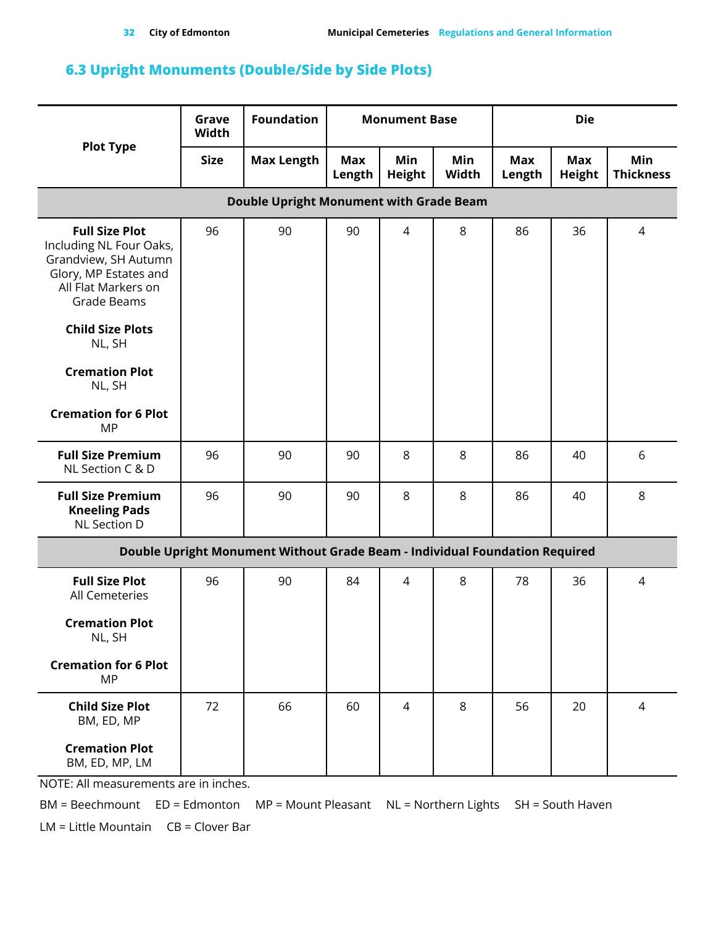### <span id="page-31-0"></span>**6.3 Upright Monuments (Double/Side by Side Plots)**

|                                                                                                                                                                    | Grave<br>Width | <b>Foundation</b>                                                           | <b>Monument Base</b> |                      |              | <b>Die</b>    |                      |                         |  |
|--------------------------------------------------------------------------------------------------------------------------------------------------------------------|----------------|-----------------------------------------------------------------------------|----------------------|----------------------|--------------|---------------|----------------------|-------------------------|--|
| <b>Plot Type</b>                                                                                                                                                   | <b>Size</b>    | <b>Max Length</b>                                                           | Max<br>Length        | Min<br><b>Height</b> | Min<br>Width | Max<br>Length | Max<br><b>Height</b> | Min<br><b>Thickness</b> |  |
| <b>Double Upright Monument with Grade Beam</b>                                                                                                                     |                |                                                                             |                      |                      |              |               |                      |                         |  |
| <b>Full Size Plot</b><br>Including NL Four Oaks,<br>Grandview, SH Autumn<br>Glory, MP Estates and<br>All Flat Markers on<br>Grade Beams<br><b>Child Size Plots</b> | 96             | 90                                                                          | 90                   | $\overline{4}$       | 8            | 86            | 36                   | $\overline{4}$          |  |
| NL, SH                                                                                                                                                             |                |                                                                             |                      |                      |              |               |                      |                         |  |
| <b>Cremation Plot</b><br>NL, SH                                                                                                                                    |                |                                                                             |                      |                      |              |               |                      |                         |  |
| <b>Cremation for 6 Plot</b><br>MP                                                                                                                                  |                |                                                                             |                      |                      |              |               |                      |                         |  |
| <b>Full Size Premium</b><br>NL Section C & D                                                                                                                       | 96             | 90                                                                          | 90                   | 8                    | 8            | 86            | 40                   | 6                       |  |
| <b>Full Size Premium</b><br><b>Kneeling Pads</b><br>NL Section D                                                                                                   | 96             | 90                                                                          | 90                   | 8                    | 8            | 86            | 40                   | 8                       |  |
|                                                                                                                                                                    |                | Double Upright Monument Without Grade Beam - Individual Foundation Required |                      |                      |              |               |                      |                         |  |
| <b>Full Size Plot</b><br>All Cemeteries                                                                                                                            | 96             | 90                                                                          | 84                   | $\overline{4}$       | 8            | 78            | 36                   | $\overline{4}$          |  |
| <b>Cremation Plot</b><br>NL, SH                                                                                                                                    |                |                                                                             |                      |                      |              |               |                      |                         |  |
| <b>Cremation for 6 Plot</b><br><b>MP</b>                                                                                                                           |                |                                                                             |                      |                      |              |               |                      |                         |  |
| <b>Child Size Plot</b><br>BM, ED, MP                                                                                                                               | 72             | 66                                                                          | 60                   | $\overline{4}$       | 8            | 56            | 20                   | $\overline{4}$          |  |
| <b>Cremation Plot</b><br>BM, ED, MP, LM                                                                                                                            |                |                                                                             |                      |                      |              |               |                      |                         |  |

NOTE: All measurements are in inches.

BM = Beechmount ED = Edmonton MP = Mount Pleasant NL = Northern Lights SH = South Haven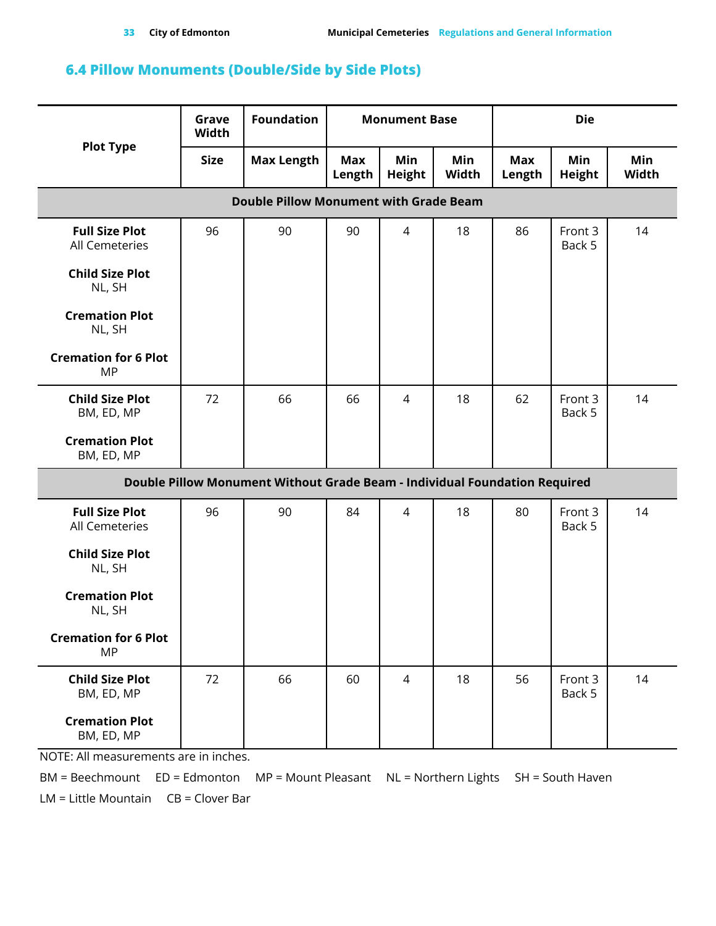### <span id="page-32-0"></span>**6.4 Pillow Monuments (Double/Side by Side Plots)**

|                                               | Grave<br>Width | <b>Foundation</b>                                                          | <b>Monument Base</b> |                      |              | <b>Die</b>           |                      |              |  |
|-----------------------------------------------|----------------|----------------------------------------------------------------------------|----------------------|----------------------|--------------|----------------------|----------------------|--------------|--|
| <b>Plot Type</b>                              | <b>Size</b>    | <b>Max Length</b>                                                          | <b>Max</b><br>Length | Min<br><b>Height</b> | Min<br>Width | <b>Max</b><br>Length | Min<br><b>Height</b> | Min<br>Width |  |
| <b>Double Pillow Monument with Grade Beam</b> |                |                                                                            |                      |                      |              |                      |                      |              |  |
| <b>Full Size Plot</b><br>All Cemeteries       | 96             | 90                                                                         | 90                   | $\overline{4}$       | 18           | 86                   | Front 3<br>Back 5    | 14           |  |
| <b>Child Size Plot</b><br>NL, SH              |                |                                                                            |                      |                      |              |                      |                      |              |  |
| <b>Cremation Plot</b><br>NL, SH               |                |                                                                            |                      |                      |              |                      |                      |              |  |
| <b>Cremation for 6 Plot</b><br><b>MP</b>      |                |                                                                            |                      |                      |              |                      |                      |              |  |
| <b>Child Size Plot</b><br>BM, ED, MP          | 72             | 66                                                                         | 66                   | $\overline{4}$       | 18           | 62                   | Front 3<br>Back 5    | 14           |  |
| <b>Cremation Plot</b><br>BM, ED, MP           |                |                                                                            |                      |                      |              |                      |                      |              |  |
|                                               |                | Double Pillow Monument Without Grade Beam - Individual Foundation Required |                      |                      |              |                      |                      |              |  |
| <b>Full Size Plot</b><br>All Cemeteries       | 96             | 90                                                                         | 84                   | $\overline{4}$       | 18           | 80                   | Front 3<br>Back 5    | 14           |  |
| <b>Child Size Plot</b><br>NL, SH              |                |                                                                            |                      |                      |              |                      |                      |              |  |
| <b>Cremation Plot</b><br>NL, SH               |                |                                                                            |                      |                      |              |                      |                      |              |  |
| <b>Cremation for 6 Plot</b><br><b>MP</b>      |                |                                                                            |                      |                      |              |                      |                      |              |  |
| <b>Child Size Plot</b><br>BM, ED, MP          | 72             | 66                                                                         | 60                   | $\overline{4}$       | 18           | 56                   | Front 3<br>Back 5    | 14           |  |
| <b>Cremation Plot</b><br>BM, ED, MP           |                |                                                                            |                      |                      |              |                      |                      |              |  |

NOTE: All measurements are in inches.

BM = Beechmount ED = Edmonton MP = Mount Pleasant NL = Northern Lights SH = South Haven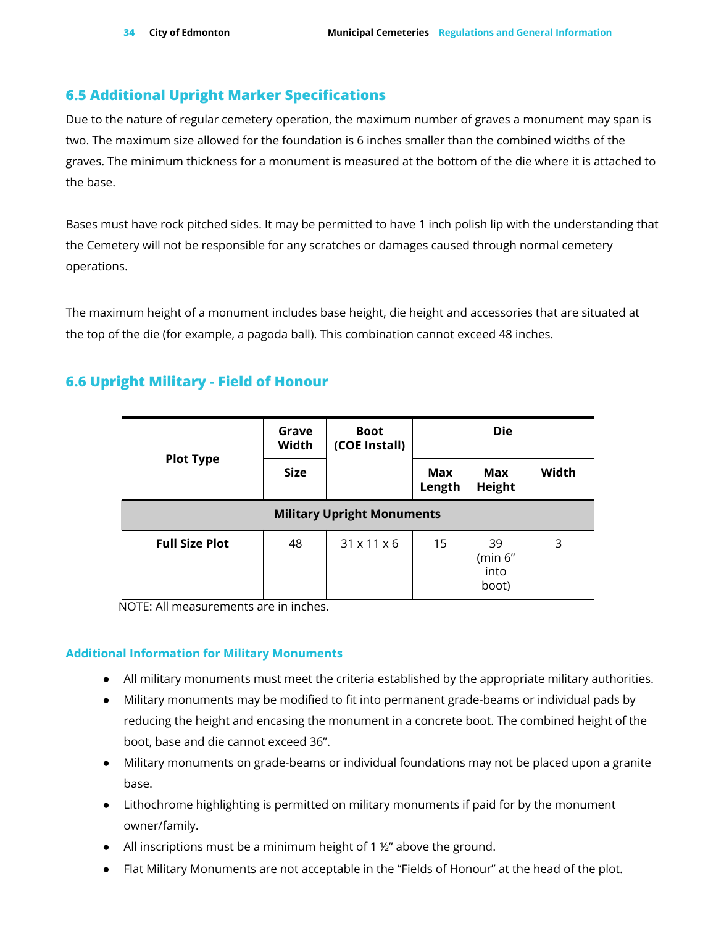### <span id="page-33-0"></span>**6.5 Additional Upright Marker Specifications**

Due to the nature of regular cemetery operation, the maximum number of graves a monument may span is two. The maximum size allowed for the foundation is 6 inches smaller than the combined widths of the graves. The minimum thickness for a monument is measured at the bottom of the die where it is attached to the base.

Bases must have rock pitched sides. It may be permitted to have 1 inch polish lip with the understanding that the Cemetery will not be responsible for any scratches or damages caused through normal cemetery operations.

The maximum height of a monument includes base height, die height and accessories that are situated at the top of the die (for example, a pagoda ball). This combination cannot exceed 48 inches.

### <span id="page-33-1"></span>**6.6 Upright Military - Field of Honour**

|                                   | Grave<br>Width | <b>Boot</b><br>(COE Install) |               | <b>Die</b>                     |       |  |  |  |
|-----------------------------------|----------------|------------------------------|---------------|--------------------------------|-------|--|--|--|
| <b>Plot Type</b>                  | <b>Size</b>    |                              | Max<br>Length | Max<br>Height                  | Width |  |  |  |
| <b>Military Upright Monuments</b> |                |                              |               |                                |       |  |  |  |
| <b>Full Size Plot</b>             | 48             | $31 \times 11 \times 6$      | 15            | 39<br>(min 6"<br>into<br>boot) | 3     |  |  |  |

NOTE: All measurements are in inches.

#### **Additional Information for Military Monuments**

- All military monuments must meet the criteria established by the appropriate military authorities.
- Military monuments may be modified to fit into permanent grade-beams or individual pads by reducing the height and encasing the monument in a concrete boot. The combined height of the boot, base and die cannot exceed 36".
- Military monuments on grade-beams or individual foundations may not be placed upon a granite base.
- Lithochrome highlighting is permitted on military monuments if paid for by the monument owner/family.
- All inscriptions must be a minimum height of 1 ½" above the ground.
- Flat Military Monuments are not acceptable in the "Fields of Honour" at the head of the plot.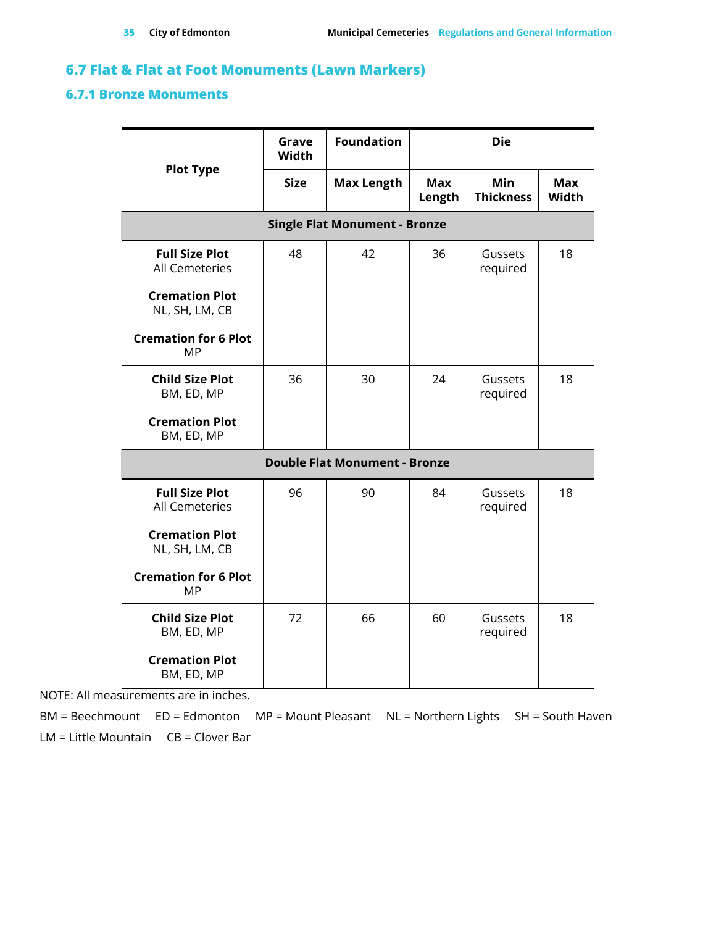### <span id="page-34-0"></span>**6.7 Flat & Flat at Foot Monuments (Lawn Markers)**

#### <span id="page-34-1"></span>**6.7.1 Bronze Monuments**

|                                                | Grave<br><b>Width</b> | <b>Foundation</b>                    | <b>Die</b>                |                                |                     |  |  |  |  |
|------------------------------------------------|-----------------------|--------------------------------------|---------------------------|--------------------------------|---------------------|--|--|--|--|
| <b>Plot Type</b>                               | <b>Size</b>           | <b>Max Length</b>                    | <b>Max</b><br>Length      | <b>Min</b><br><b>Thickness</b> | <b>Max</b><br>Width |  |  |  |  |
| <b>Single Flat Monument - Bronze</b>           |                       |                                      |                           |                                |                     |  |  |  |  |
| <b>Full Size Plot</b><br><b>All Cemeteries</b> | 48                    | 42                                   | 36                        | Gussets<br>required            |                     |  |  |  |  |
| <b>Cremation Plot</b><br>NL, SH, LM, CB        |                       |                                      |                           |                                |                     |  |  |  |  |
| <b>Cremation for 6 Plot</b><br><b>MP</b>       |                       |                                      |                           |                                |                     |  |  |  |  |
| <b>Child Size Plot</b><br>BM, ED, MP           | 36                    | 30                                   | 24                        | Gussets<br>required            | 18                  |  |  |  |  |
| <b>Cremation Plot</b><br>BM, ED, MP            |                       |                                      |                           |                                |                     |  |  |  |  |
|                                                |                       | <b>Double Flat Monument - Bronze</b> |                           |                                |                     |  |  |  |  |
| <b>Full Size Plot</b><br><b>All Cemeteries</b> | 96                    | 90                                   | 84                        | Gussets<br>required            | 18                  |  |  |  |  |
| <b>Cremation Plot</b><br>NL, SH, LM, CB        |                       |                                      |                           |                                |                     |  |  |  |  |
| <b>Cremation for 6 Plot</b><br><b>MP</b>       |                       |                                      |                           |                                |                     |  |  |  |  |
| <b>Child Size Plot</b><br>BM, ED, MP           | 72                    | 66                                   | 60<br>Gussets<br>required |                                | 18                  |  |  |  |  |
| <b>Cremation Plot</b><br>BM, ED, MP            |                       |                                      |                           |                                |                     |  |  |  |  |

NOTE: All measurements are in inches.

BM = Beechmount ED = Edmonton MP = Mount Pleasant NL = Northern Lights SH = South Haven LM = Little Mountain CB = Clover Bar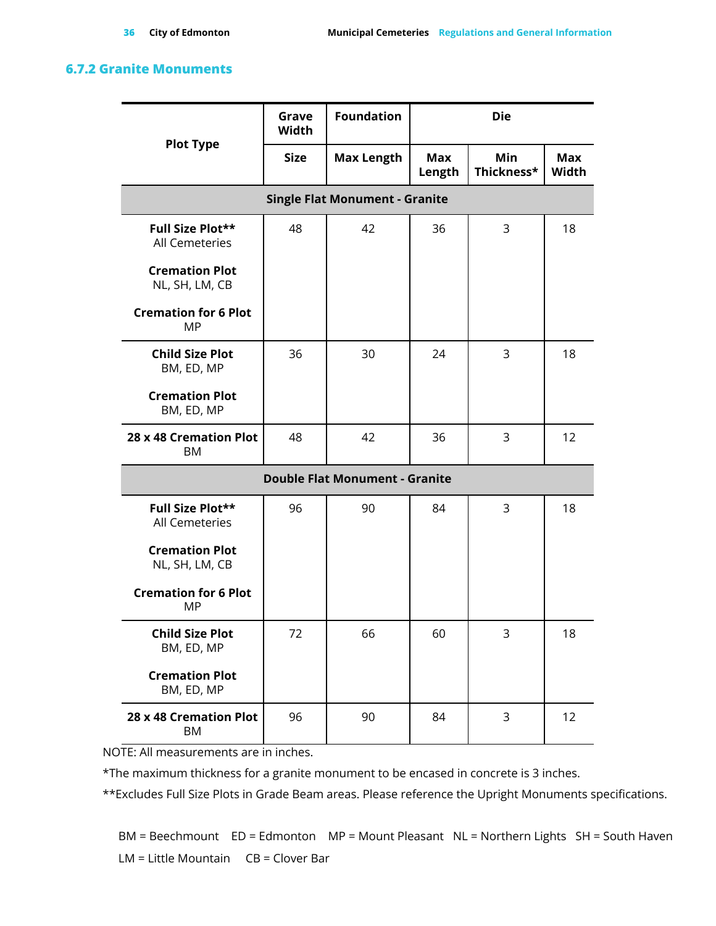#### <span id="page-35-0"></span>**6.7.2 Granite Monuments**

|                                          | Grave<br><b>Width</b> | <b>Foundation</b>                         | <b>Die</b> |                          |                     |  |  |  |  |  |  |
|------------------------------------------|-----------------------|-------------------------------------------|------------|--------------------------|---------------------|--|--|--|--|--|--|
| <b>Plot Type</b>                         | Size                  | <b>Max Length</b><br><b>Max</b><br>Length |            | <b>Min</b><br>Thickness* | <b>Max</b><br>Width |  |  |  |  |  |  |
| <b>Single Flat Monument - Granite</b>    |                       |                                           |            |                          |                     |  |  |  |  |  |  |
| Full Size Plot**<br>All Cemeteries       | 48                    | 42                                        | 36         | 3                        | 18                  |  |  |  |  |  |  |
| <b>Cremation Plot</b><br>NL, SH, LM, CB  |                       |                                           |            |                          |                     |  |  |  |  |  |  |
| <b>Cremation for 6 Plot</b><br><b>MP</b> |                       |                                           |            |                          |                     |  |  |  |  |  |  |
| <b>Child Size Plot</b><br>BM, ED, MP     | 36                    | 30                                        | 24         | 3                        | 18                  |  |  |  |  |  |  |
| <b>Cremation Plot</b><br>BM, ED, MP      |                       |                                           |            |                          |                     |  |  |  |  |  |  |
| 28 x 48 Cremation Plot<br>ΒM             | 48                    | 42                                        | 36         | 3                        | 12                  |  |  |  |  |  |  |
| <b>Double Flat Monument - Granite</b>    |                       |                                           |            |                          |                     |  |  |  |  |  |  |
| Full Size Plot**<br>All Cemeteries       | 96                    | 90                                        | 84         | 3                        | 18                  |  |  |  |  |  |  |
| <b>Cremation Plot</b><br>NL, SH, LM, CB  |                       |                                           |            |                          |                     |  |  |  |  |  |  |
| <b>Cremation for 6 Plot</b><br>MP        |                       |                                           |            |                          |                     |  |  |  |  |  |  |
| <b>Child Size Plot</b><br>BM, ED, MP     | 72                    | 66                                        | 60         | 3                        | 18                  |  |  |  |  |  |  |
| <b>Cremation Plot</b><br>BM, ED, MP      |                       |                                           |            |                          |                     |  |  |  |  |  |  |
| 28 x 48 Cremation Plot<br>BM             | 96                    | 90                                        | 84         | 3                        | 12                  |  |  |  |  |  |  |

NOTE: All measurements are in inches.

\*The maximum thickness for a granite monument to be encased in concrete is 3 inches.

\*\*Excludes Full Size Plots in Grade Beam areas. Please reference the Upright Monuments specifications.

BM = Beechmount ED = Edmonton MP = Mount Pleasant NL = Northern Lights SH = South Haven LM = Little Mountain CB = Clover Bar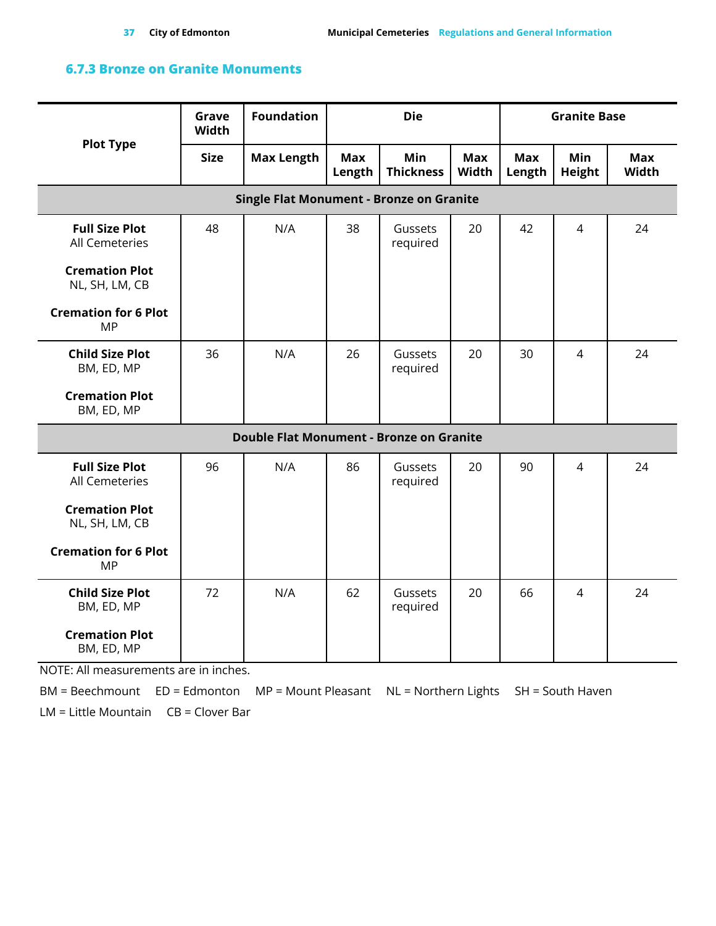### <span id="page-36-0"></span>**6.7.3 Bronze on Granite Monuments**

| <b>Plot Type</b>                                | Grave<br><b>Width</b> | <b>Foundation</b> | <b>Die</b>    |                         |                     | <b>Granite Base</b>  |                      |                     |  |  |  |  |
|-------------------------------------------------|-----------------------|-------------------|---------------|-------------------------|---------------------|----------------------|----------------------|---------------------|--|--|--|--|
|                                                 | <b>Size</b>           | <b>Max Length</b> | Max<br>Length | Min<br><b>Thickness</b> | <b>Max</b><br>Width | <b>Max</b><br>Length | Min<br><b>Height</b> | <b>Max</b><br>Width |  |  |  |  |
| <b>Single Flat Monument - Bronze on Granite</b> |                       |                   |               |                         |                     |                      |                      |                     |  |  |  |  |
| <b>Full Size Plot</b><br><b>All Cemeteries</b>  | 48                    | N/A               | 38            | Gussets<br>required     | 20                  | 42                   | $\overline{4}$       | 24                  |  |  |  |  |
| <b>Cremation Plot</b><br>NL, SH, LM, CB         |                       |                   |               |                         |                     |                      |                      |                     |  |  |  |  |
| <b>Cremation for 6 Plot</b><br><b>MP</b>        |                       |                   |               |                         |                     |                      |                      |                     |  |  |  |  |
| <b>Child Size Plot</b><br>BM, ED, MP            | 36                    | N/A               | 26            | Gussets<br>required     | 20                  | 30                   | $\overline{4}$       | 24                  |  |  |  |  |
| <b>Cremation Plot</b><br>BM, ED, MP             |                       |                   |               |                         |                     |                      |                      |                     |  |  |  |  |
| <b>Double Flat Monument - Bronze on Granite</b> |                       |                   |               |                         |                     |                      |                      |                     |  |  |  |  |
| <b>Full Size Plot</b><br>All Cemeteries         | 96                    | N/A               | 86            | Gussets<br>required     | 20                  | 90                   | $\overline{4}$       | 24                  |  |  |  |  |
| <b>Cremation Plot</b><br>NL, SH, LM, CB         |                       |                   |               |                         |                     |                      |                      |                     |  |  |  |  |
| <b>Cremation for 6 Plot</b><br><b>MP</b>        |                       |                   |               |                         |                     |                      |                      |                     |  |  |  |  |
| <b>Child Size Plot</b><br>BM, ED, MP            | 72                    | N/A               | 62            | Gussets<br>required     | 20                  | 66                   | $\overline{4}$       | 24                  |  |  |  |  |
| <b>Cremation Plot</b><br>BM, ED, MP             |                       |                   |               |                         |                     |                      |                      |                     |  |  |  |  |

NOTE: All measurements are in inches.

BM = Beechmount ED = Edmonton MP = Mount Pleasant NL = Northern Lights SH = South Haven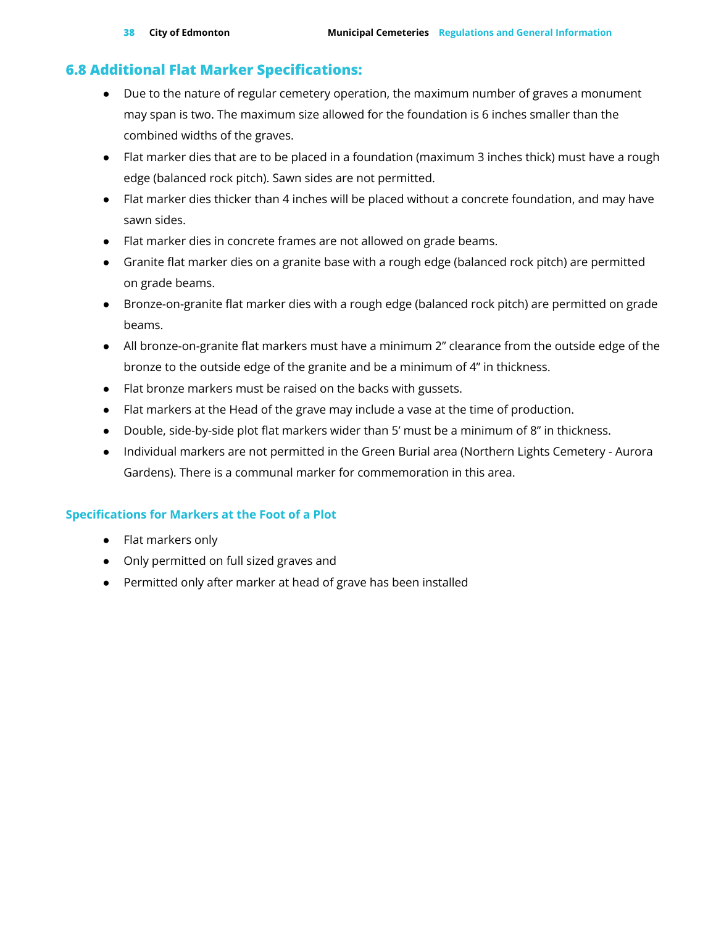### <span id="page-37-0"></span>**6.8 Additional Flat Marker Specifications:**

- Due to the nature of regular cemetery operation, the maximum number of graves a monument may span is two. The maximum size allowed for the foundation is 6 inches smaller than the combined widths of the graves.
- Flat marker dies that are to be placed in a foundation (maximum 3 inches thick) must have a rough edge (balanced rock pitch). Sawn sides are not permitted.
- Flat marker dies thicker than 4 inches will be placed without a concrete foundation, and may have sawn sides.
- Flat marker dies in concrete frames are not allowed on grade beams.
- Granite flat marker dies on a granite base with a rough edge (balanced rock pitch) are permitted on grade beams.
- Bronze-on-granite flat marker dies with a rough edge (balanced rock pitch) are permitted on grade beams.
- All bronze-on-granite flat markers must have a minimum 2" clearance from the outside edge of the bronze to the outside edge of the granite and be a minimum of 4" in thickness.
- Flat bronze markers must be raised on the backs with gussets.
- Flat markers at the Head of the grave may include a vase at the time of production.
- Double, side-by-side plot flat markers wider than 5' must be a minimum of 8" in thickness.
- Individual markers are not permitted in the Green Burial area (Northern Lights Cemetery Aurora Gardens). There is a communal marker for commemoration in this area.

### **Specifications for Markers at the Foot of a Plot**

- Flat markers only
- Only permitted on full sized graves and
- Permitted only after marker at head of grave has been installed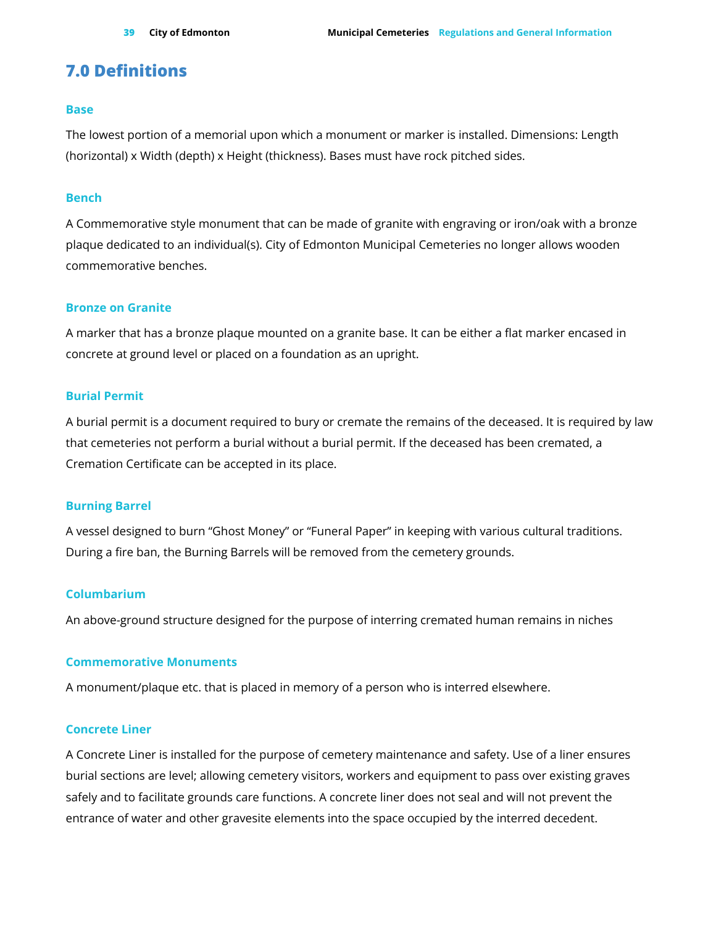### <span id="page-38-0"></span>**7.0 Definitions**

#### **Base**

The lowest portion of a memorial upon which a monument or marker is installed. Dimensions: Length (horizontal) x Width (depth) x Height (thickness). Bases must have rock pitched sides.

#### **Bench**

A Commemorative style monument that can be made of granite with engraving or iron/oak with a bronze plaque dedicated to an individual(s). City of Edmonton Municipal Cemeteries no longer allows wooden commemorative benches.

#### **Bronze on Granite**

A marker that has a bronze plaque mounted on a granite base. It can be either a flat marker encased in concrete at ground level or placed on a foundation as an upright.

#### **Burial Permit**

A burial permit is a document required to bury or cremate the remains of the deceased. It is required by law that cemeteries not perform a burial without a burial permit. If the deceased has been cremated, a Cremation Certificate can be accepted in its place.

#### **Burning Barrel**

A vessel designed to burn "Ghost Money" or "Funeral Paper" in keeping with various cultural traditions. During a fire ban, the Burning Barrels will be removed from the cemetery grounds.

#### **Columbarium**

An above-ground structure designed for the purpose of interring cremated human remains in niches

#### **Commemorative Monuments**

A monument/plaque etc. that is placed in memory of a person who is interred elsewhere.

#### **Concrete Liner**

A Concrete Liner is installed for the purpose of cemetery maintenance and safety. Use of a liner ensures burial sections are level; allowing cemetery visitors, workers and equipment to pass over existing graves safely and to facilitate grounds care functions. A concrete liner does not seal and will not prevent the entrance of water and other gravesite elements into the space occupied by the interred decedent.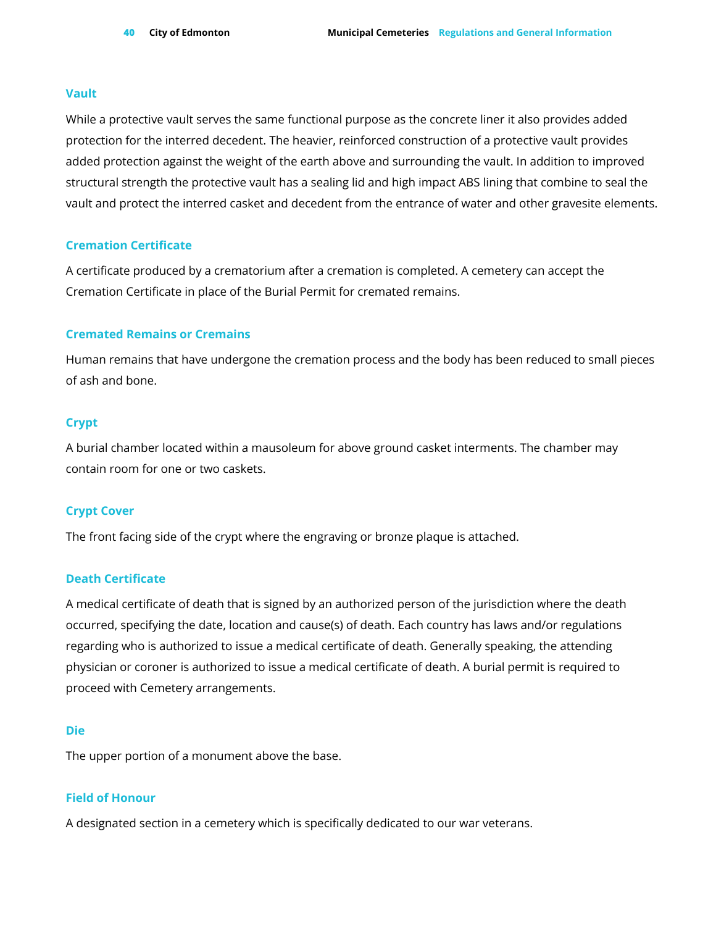#### **Vault**

While a protective vault serves the same functional purpose as the concrete liner it also provides added protection for the interred decedent. The heavier, reinforced construction of a protective vault provides added protection against the weight of the earth above and surrounding the vault. In addition to improved structural strength the protective vault has a sealing lid and high impact ABS lining that combine to seal the vault and protect the interred casket and decedent from the entrance of water and other gravesite elements.

#### **Cremation Certificate**

A certificate produced by a crematorium after a cremation is completed. A cemetery can accept the Cremation Certificate in place of the Burial Permit for cremated remains.

#### **Cremated Remains or Cremains**

Human remains that have undergone the cremation process and the body has been reduced to small pieces of ash and bone.

#### **Crypt**

A burial chamber located within a mausoleum for above ground casket interments. The chamber may contain room for one or two caskets.

#### **Crypt Cover**

The front facing side of the crypt where the engraving or bronze plaque is attached.

#### **Death Certificate**

A medical certificate of death that is signed by an authorized person of the jurisdiction where the death occurred, specifying the date, location and cause(s) of death. Each country has laws and/or regulations regarding who is authorized to issue a medical certificate of death. Generally speaking, the attending physician or coroner is authorized to issue a medical certificate of death. A burial permit is required to proceed with Cemetery arrangements.

#### **Die**

The upper portion of a monument above the base.

#### **Field of Honour**

A designated section in a cemetery which is specifically dedicated to our war veterans.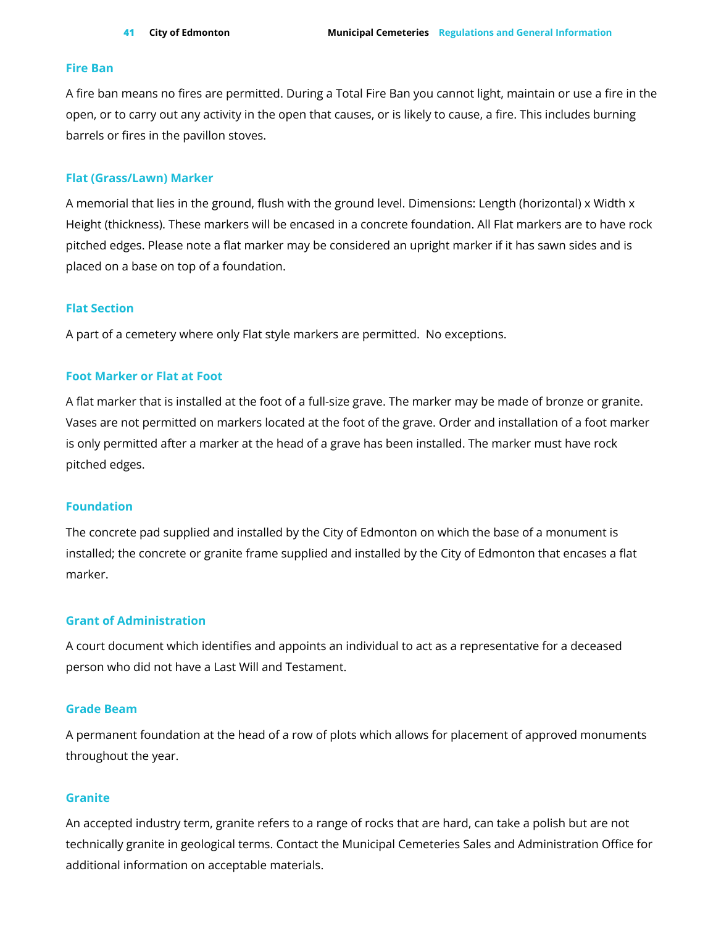#### **Fire Ban**

A fire ban means no fires are permitted. During a Total Fire Ban you cannot light, maintain or use a fire in the open, or to carry out any activity in the open that causes, or is likely to cause, a fire. This includes burning barrels or fires in the pavillon stoves.

#### **Flat (Grass/Lawn) Marker**

A memorial that lies in the ground, flush with the ground level. Dimensions: Length (horizontal) x Width x Height (thickness). These markers will be encased in a concrete foundation. All Flat markers are to have rock pitched edges. Please note a flat marker may be considered an upright marker if it has sawn sides and is placed on a base on top of a foundation.

#### **Flat Section**

A part of a cemetery where only Flat style markers are permitted. No exceptions.

#### **Foot Marker or Flat at Foot**

A flat marker that is installed at the foot of a full-size grave. The marker may be made of bronze or granite. Vases are not permitted on markers located at the foot of the grave. Order and installation of a foot marker is only permitted after a marker at the head of a grave has been installed. The marker must have rock pitched edges.

#### **Foundation**

The concrete pad supplied and installed by the City of Edmonton on which the base of a monument is installed; the concrete or granite frame supplied and installed by the City of Edmonton that encases a flat marker.

#### **Grant of Administration**

A court document which identifies and appoints an individual to act as a representative for a deceased person who did not have a Last Will and Testament.

#### **Grade Beam**

A permanent foundation at the head of a row of plots which allows for placement of approved monuments throughout the year.

#### **Granite**

An accepted industry term, granite refers to a range of rocks that are hard, can take a polish but are not technically granite in geological terms. Contact the Municipal Cemeteries Sales and Administration Office for additional information on acceptable materials.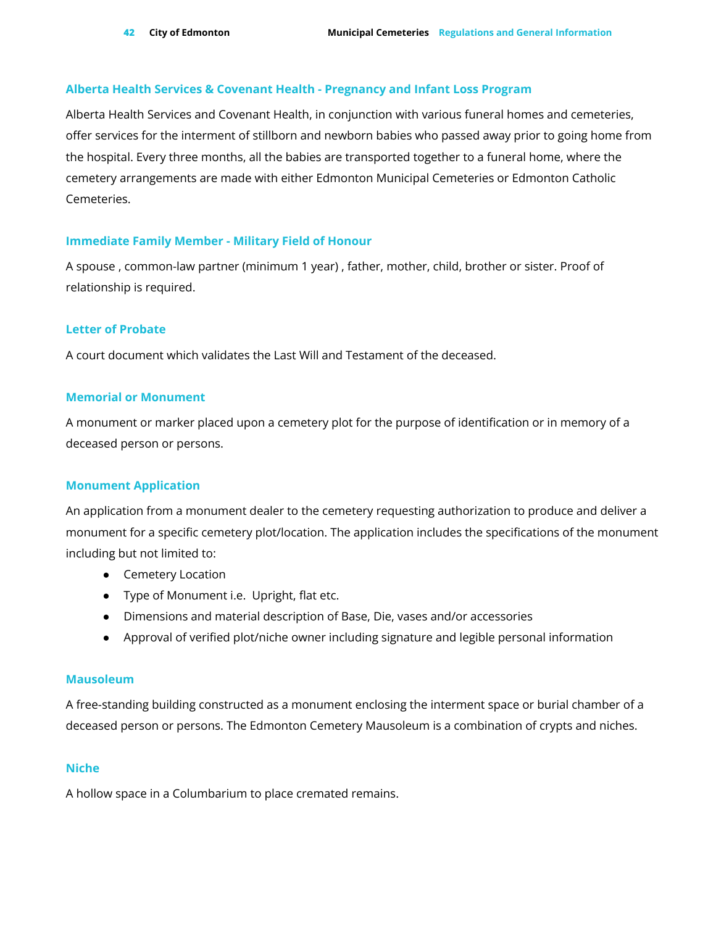#### **Alberta Health Services & Covenant Health - Pregnancy and Infant Loss Program**

Alberta Health Services and Covenant Health, in conjunction with various funeral homes and cemeteries, offer services for the interment of stillborn and newborn babies who passed away prior to going home from the hospital. Every three months, all the babies are transported together to a funeral home, where the cemetery arrangements are made with either Edmonton Municipal Cemeteries or Edmonton Catholic Cemeteries.

#### **Immediate Family Member - Military Field of Honour**

A spouse , common-law partner (minimum 1 year) , father, mother, child, brother or sister. Proof of relationship is required.

#### **Letter of Probate**

A court document which validates the Last Will and Testament of the deceased.

#### **Memorial or Monument**

A monument or marker placed upon a cemetery plot for the purpose of identification or in memory of a deceased person or persons.

#### **Monument Application**

An application from a monument dealer to the cemetery requesting authorization to produce and deliver a monument for a specific cemetery plot/location. The application includes the specifications of the monument including but not limited to:

- Cemetery Location
- Type of Monument i.e. Upright, flat etc.
- Dimensions and material description of Base, Die, vases and/or accessories
- Approval of verified plot/niche owner including signature and legible personal information

#### **Mausoleum**

A free-standing building constructed as a monument enclosing the interment space or burial chamber of a deceased person or persons. The Edmonton Cemetery Mausoleum is a combination of crypts and niches.

#### **Niche**

A hollow space in a Columbarium to place cremated remains.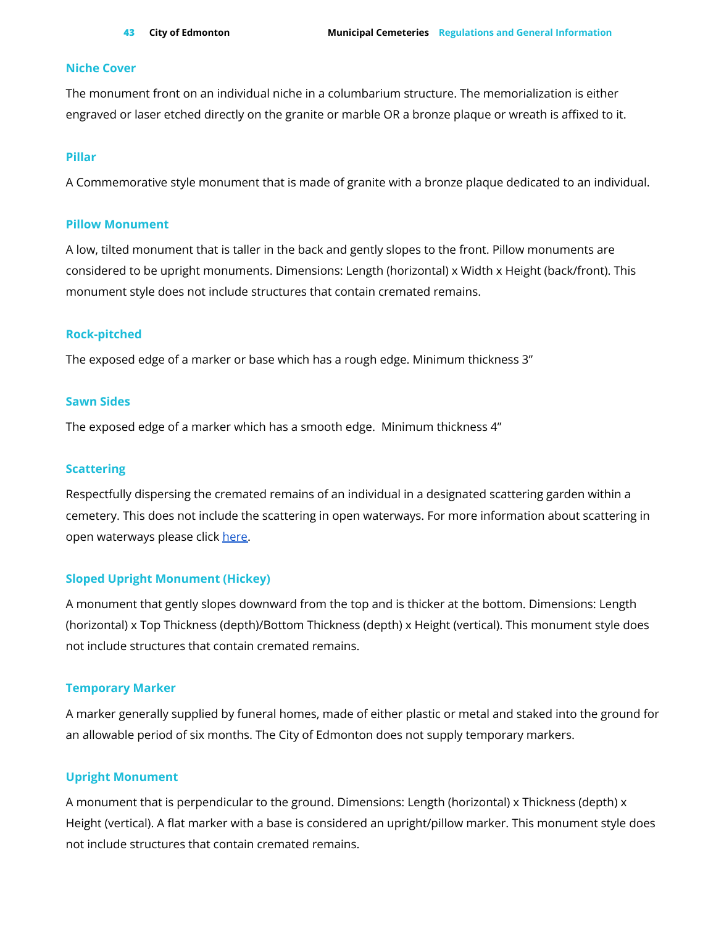#### **Niche Cover**

The monument front on an individual niche in a columbarium structure. The memorialization is either engraved or laser etched directly on the granite or marble OR a bronze plaque or wreath is affixed to it.

#### **Pillar**

A Commemorative style monument that is made of granite with a bronze plaque dedicated to an individual.

#### **Pillow Monument**

A low, tilted monument that is taller in the back and gently slopes to the front. Pillow monuments are considered to be upright monuments. Dimensions: Length (horizontal) x Width x Height (back/front). This monument style does not include structures that contain cremated remains.

#### **Rock-pitched**

The exposed edge of a marker or base which has a rough edge. Minimum thickness 3"

#### **Sawn Sides**

The exposed edge of a marker which has a smooth edge. Minimum thickness 4"

#### **Scattering**

Respectfully dispersing the cremated remains of an individual in a designated scattering garden within a cemetery. This does not include the scattering in open waterways. For more information about scattering in open waterways please click [here.](https://www.edmonton.ca/activities_parks_recreation/parks_rivervalley/scattering-cremated-remains-in-waterways.aspx)

#### **Sloped Upright Monument (Hickey)**

A monument that gently slopes downward from the top and is thicker at the bottom. Dimensions: Length (horizontal) x Top Thickness (depth)/Bottom Thickness (depth) x Height (vertical). This monument style does not include structures that contain cremated remains.

#### **Temporary Marker**

A marker generally supplied by funeral homes, made of either plastic or metal and staked into the ground for an allowable period of six months. The City of Edmonton does not supply temporary markers.

#### **Upright Monument**

A monument that is perpendicular to the ground. Dimensions: Length (horizontal) x Thickness (depth) x Height (vertical). A flat marker with a base is considered an upright/pillow marker. This monument style does not include structures that contain cremated remains.